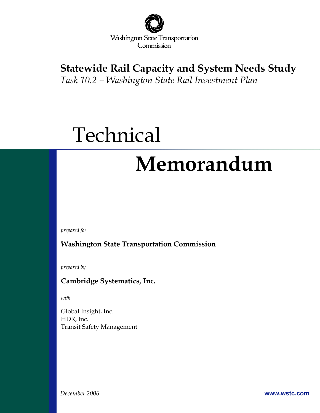

# **Statewide Rail Capacity and System Needs Study**

*Task 10.2 – Washington State Rail Investment Plan* 

# **Technical**

# **Memorandum**

*prepared for* 

#### **Washington State Transportation Commission**

*prepared by* 

### **Cambridge Systematics, Inc.**

*with* 

Global Insight, Inc. HDR, Inc. Transit Safety Management

*December 2006* **www.wstc.com**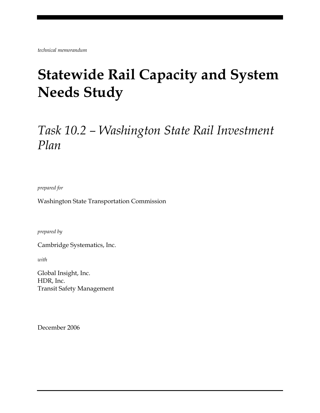# **Statewide Rail Capacity and System Needs Study**

# *Task 10.2 – Washington State Rail Investment Plan*

*prepared for* 

Washington State Transportation Commission

*prepared by* 

Cambridge Systematics, Inc.

*with* 

Global Insight, Inc. HDR, Inc. Transit Safety Management

December 2006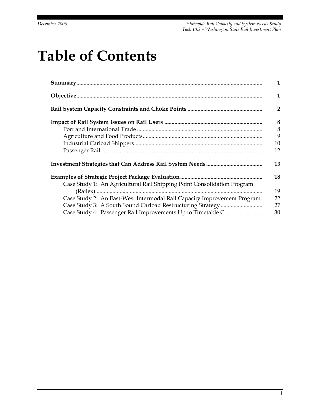# **Table of Contents**

|                                                                          | $\mathbf{1}$   |
|--------------------------------------------------------------------------|----------------|
|                                                                          | 1              |
|                                                                          | $\overline{2}$ |
|                                                                          | 8              |
|                                                                          | 8              |
|                                                                          | 9              |
|                                                                          | 10             |
|                                                                          | 12             |
|                                                                          | 13             |
|                                                                          | 18             |
| Case Study 1: An Agricultural Rail Shipping Point Consolidation Program  |                |
|                                                                          | 19             |
| Case Study 2: An East-West Intermodal Rail Capacity Improvement Program. | 22             |
|                                                                          | 27             |
|                                                                          | 30             |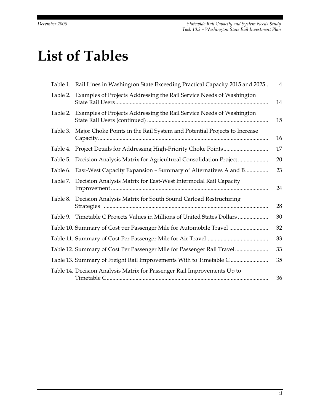# **List of Tables**

|          | Table 1. Rail Lines in Washington State Exceeding Practical Capacity 2015 and 2025 | $\overline{4}$ |
|----------|------------------------------------------------------------------------------------|----------------|
| Table 2. | Examples of Projects Addressing the Rail Service Needs of Washington               | 14             |
|          | Table 2. Examples of Projects Addressing the Rail Service Needs of Washington      | 15             |
| Table 3. | Major Choke Points in the Rail System and Potential Projects to Increase           | 16             |
|          | Table 4. Project Details for Addressing High-Priority Choke Points                 | 17             |
|          | Table 5. Decision Analysis Matrix for Agricultural Consolidation Project           | 20             |
|          | Table 6. East-West Capacity Expansion - Summary of Alternatives A and B            | 23             |
|          | Table 7. Decision Analysis Matrix for East-West Intermodal Rail Capacity           | 24             |
|          | Table 8. Decision Analysis Matrix for South Sound Carload Restructuring            | 28             |
|          | Table 9. Timetable C Projects Values in Millions of United States Dollars          | 30             |
|          | Table 10. Summary of Cost per Passenger Mile for Automobile Travel                 | 32             |
|          |                                                                                    | 33             |
|          | Table 12. Summary of Cost Per Passenger Mile for Passenger Rail Travel             | 33             |
|          | Table 13. Summary of Freight Rail Improvements With to Timetable C                 | 35             |
|          | Table 14. Decision Analysis Matrix for Passenger Rail Improvements Up to           | 36             |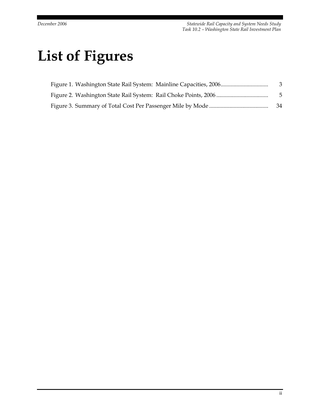# **List of Figures**

| -3  |
|-----|
| -5. |
| 34  |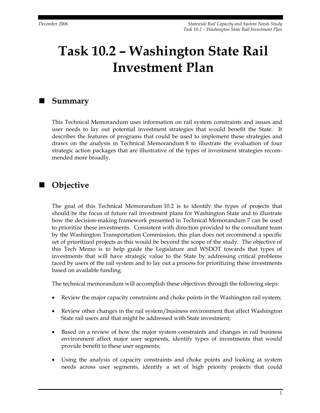# **Task 10.2 – Washington State Rail Investment Plan**

## **Summary**

This Technical Memorandum uses information on rail system constraints and issues and user needs to lay out potential investment strategies that would benefit the State. It describes the features of programs that could be used to implement these strategies and draws on the analysis in Technical Memorandum 8 to illustrate the evaluation of four strategic action packages that are illustrative of the types of investment strategies recommended more broadly.

# **Objective**

The goal of this Technical Memorandum 10.2 is to identify the types of projects that should be the focus of future rail investment plans for Washington State and to illustrate how the decision-making framework presented in Technical Memorandum 7 can be used to prioritize these investments. Consistent with direction provided to the consultant team by the Washington Transportation Commission, this plan does not recommend a specific set of prioritized projects as this would be beyond the scope of the study. The objective of this Tech Memo is to help guide the Legislature and WSDOT towards that types of investments that will have strategic value to the State by addressing critical problems faced by users of the rail system and to lay out a process for prioritizing these investments based on available funding.

The technical memorandum will accomplish these objectives through the following steps:

- Review the major capacity constraints and choke points in the Washington rail system;
- Review other changes in the rail system/business environment that affect Washington State rail users and that might be addressed with State investment;
- Based on a review of how the major system constraints and changes in rail business environment affect major user segments, identify types of investments that would provide benefit to these user segments;
- Using the analysis of capacity constraints and choke points and looking at system needs across user segments, identify a set of high priority projects that could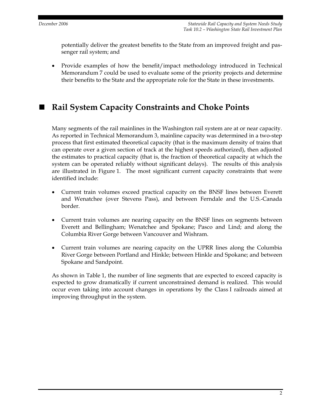potentially deliver the greatest benefits to the State from an improved freight and passenger rail system; and

• Provide examples of how the benefit/impact methodology introduced in Technical Memorandum 7 could be used to evaluate some of the priority projects and determine their benefits to the State and the appropriate role for the State in these investments.

# **Rail System Capacity Constraints and Choke Points**

Many segments of the rail mainlines in the Washington rail system are at or near capacity. As reported in Technical Memorandum 3, mainline capacity was determined in a two-step process that first estimated theoretical capacity (that is the maximum density of trains that can operate over a given section of track at the highest speeds authorized), then adjusted the estimates to practical capacity (that is, the fraction of theoretical capacity at which the system can be operated reliably without significant delays). The results of this analysis are illustrated in Figure 1. The most significant current capacity constraints that were identified include:

- Current train volumes exceed practical capacity on the BNSF lines between Everett and Wenatchee (over Stevens Pass), and between Ferndale and the U.S.-Canada border.
- Current train volumes are nearing capacity on the BNSF lines on segments between Everett and Bellingham; Wenatchee and Spokane; Pasco and Lind; and along the Columbia River Gorge between Vancouver and Wishram.
- Current train volumes are nearing capacity on the UPRR lines along the Columbia River Gorge between Portland and Hinkle; between Hinkle and Spokane; and between Spokane and Sandpoint.

As shown in Table 1, the number of line segments that are expected to exceed capacity is expected to grow dramatically if current unconstrained demand is realized. This would occur even taking into account changes in operations by the Class I railroads aimed at improving throughput in the system.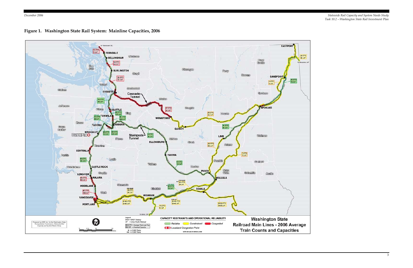*December 2006 Statewide Rail Capacity and System Needs Study Task 10.2 – Washington State Rail Investment Plan* 



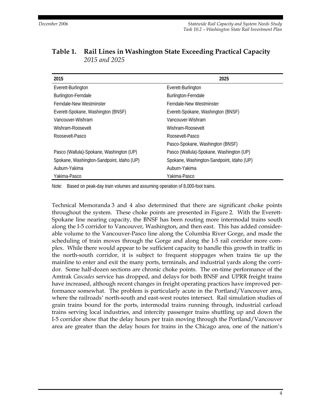| 2015                                      | 2025                                      |
|-------------------------------------------|-------------------------------------------|
| Everett-Burlington                        | Everett-Burlington                        |
| Burlington-Ferndale                       | Burlington-Ferndale                       |
| Ferndale-New Westminster                  | Ferndale-New Westminster                  |
| Everett-Spokane, Washington (BNSF)        | Everett-Spokane, Washington (BNSF)        |
| Vancouver-Wishram                         | Vancouver-Wishram                         |
| Wishram-Roosevelt                         | Wishram-Roosevelt                         |
| Roosevelt-Pasco                           | Roosevelt-Pasco                           |
|                                           | Pasco-Spokane, Washington (BNSF)          |
| Pasco (Wallula)-Spokane, Washington (UP)  | Pasco (Wallula)-Spokane, Washington (UP)  |
| Spokane, Washington-Sandpoint, Idaho (UP) | Spokane, Washington-Sandpoint, Idaho (UP) |
| Auburn-Yakima                             | Auburn-Yakima                             |
| Yakima-Pasco                              | Yakima-Pasco                              |

#### **Table 1. Rail Lines in Washington State Exceeding Practical Capacity**  *2015 and 2025*

Note: Based on peak-day train volumes and assuming operation of 8,000-foot trains.

Technical Memoranda 3 and 4 also determined that there are significant choke points throughout the system. These choke points are presented in Figure 2. With the Everett-Spokane line nearing capacity, the BNSF has been routing more intermodal trains south along the I-5 corridor to Vancouver, Washington, and then east. This has added considerable volume to the Vancouver-Pasco line along the Columbia River Gorge, and made the scheduling of train moves through the Gorge and along the I-5 rail corridor more complex. While there would appear to be sufficient capacity to handle this growth in traffic in the north-south corridor, it is subject to frequent stoppages when trains tie up the mainline to enter and exit the many ports, terminals, and industrial yards along the corridor. Some half-dozen sections are chronic choke points. The on-time performance of the Amtrak *Cascades* service has dropped, and delays for both BNSF and UPRR freight trains have increased, although recent changes in freight operating practices have improved performance somewhat. The problem is particularly acute in the Portland/Vancouver area, where the railroads' north-south and east-west routes intersect. Rail simulation studies of grain trains bound for the ports, intermodal trains running through, industrial carload trains serving local industries, and intercity passenger trains shuttling up and down the I-5 corridor show that the delay hours per train moving through the Portland/Vancouver area are greater than the delay hours for trains in the Chicago area, one of the nation's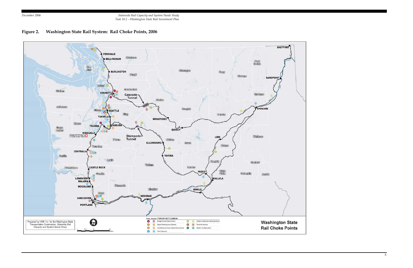### **Figure 2. Washington State Rail System: Rail Choke Points, 2006**

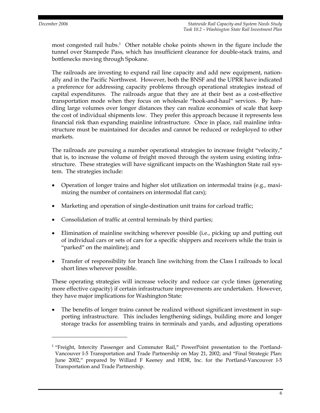<u>.</u>

most congested rail hubs.<sup>1</sup> Other notable choke points shown in the figure include the tunnel over Stampede Pass, which has insufficient clearance for double-stack trains, and bottlenecks moving through Spokane.

The railroads are investing to expand rail line capacity and add new equipment, nationally and in the Pacific Northwest. However, both the BNSF and the UPRR have indicated a preference for addressing capacity problems through operational strategies instead of capital expenditures. The railroads argue that they are at their best as a cost-effective transportation mode when they focus on wholesale "hook-and-haul" services. By handling large volumes over longer distances they can realize economies of scale that keep the cost of individual shipments low. They prefer this approach because it represents less financial risk than expanding mainline infrastructure. Once in place, rail mainline infrastructure must be maintained for decades and cannot be reduced or redeployed to other markets.

The railroads are pursuing a number operational strategies to increase freight "velocity," that is, to increase the volume of freight moved through the system using existing infrastructure. These strategies will have significant impacts on the Washington State rail system. The strategies include:

- Operation of longer trains and higher slot utilization on intermodal trains (e.g., maximizing the number of containers on intermodal flat cars);
- Marketing and operation of single-destination unit trains for carload traffic;
- Consolidation of traffic at central terminals by third parties;
- Elimination of mainline switching wherever possible (i.e., picking up and putting out of individual cars or sets of cars for a specific shippers and receivers while the train is "parked" on the mainline); and
- Transfer of responsibility for branch line switching from the Class I railroads to local short lines wherever possible.

These operating strategies will increase velocity and reduce car cycle times (generating more effective capacity) if certain infrastructure improvements are undertaken. However, they have major implications for Washington State:

• The benefits of longer trains cannot be realized without significant investment in supporting infrastructure. This includes lengthening sidings, building more and longer storage tracks for assembling trains in terminals and yards, and adjusting operations

<sup>&</sup>lt;sup>1</sup> "Freight, Intercity Passenger and Commuter Rail," PowerPoint presentation to the Portland-Vancouver I-5 Transportation and Trade Partnership on May 21, 2002; and "Final Strategic Plan: June 2002," prepared by Willard F Keeney and HDR, Inc. for the Portland-Vancouver I-5 Transportation and Trade Partnership.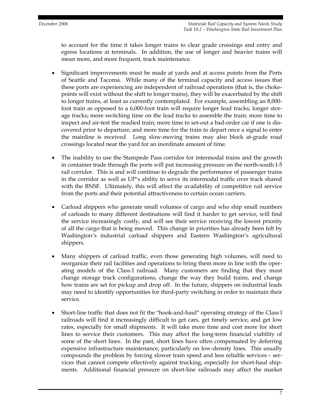to account for the time it takes longer trains to clear grade crossings and entry and egress locations at terminals. In addition, the use of longer and heavier trains will mean more, and more frequent, track maintenance.

- Significant improvements must be made at yards and at access points from the Ports of Seattle and Tacoma. While many of the terminal capacity and access issues that these ports are experiencing are independent of railroad operations (that is, the chokepoints will exist without the shift to longer trains), they will be exacerbated by the shift to longer trains, at least as currently contemplated. For example, assembling an 8,000 foot train as opposed to a 6,000-foot train will require longer lead tracks; longer storage tracks; more switching time on the lead tracks to assemble the train; more time to inspect and air-test the readied train; more time to set-out a bad-order car if one is discovered prior to departure; and more time for the train to depart once a signal to enter the mainline is received. Long slow-moving trains may also block at-grade road crossings located near the yard for an inordinate amount of time.
- The inability to use the Stampede Pass corridor for intermodal trains and the growth in container trade through the ports will put increasing pressure on the north-south I-5 rail corridor. This is and will continue to degrade the performance of passenger trains in the corridor as well as UP's ability to serve its intermodal traffic over track shared with the BNSF. Ultimately, this will affect the availability of competitive rail service from the ports and their potential attractiveness to certain ocean carriers.
- Carload shippers who generate small volumes of cargo and who ship small numbers of carloads to many different destinations will find it harder to get service, will find the service increasingly costly, and will see their service receiving the lowest priority of all the cargo that is being moved. This change in priorities has already been felt by Washington's industrial carload shippers and Eastern Washington's agricultural shippers.
- Many shippers of carload traffic, even those generating high volumes, will need to reorganize their rail facilities and operations to bring them more in line with the operating models of the Class I railroad. Many customers are finding that they must change storage track configurations, change the way they build trains, and change how trains are set for pickup and drop off. In the future, shippers on industrial leads may need to identify opportunities for third-party switching in order to maintain their service.
- Short-line traffic that does not fit the "hook-and-haul" operating strategy of the Class I railroads will find it increasingly difficult to get cars, get timely service, and get low rates, especially for small shipments. It will take more time and cost more for short lines to service their customers. This may affect the long-term financial viability of some of the short lines. In the past, short lines have often compensated by deferring expensive infrastructure maintenance, particularly on low-density lines. This usually compounds the problem by forcing slower train speed and less reliable services – services that cannot compete effectively against trucking, especially for short-haul shipments. Additional financial pressure on short-line railroads may affect the market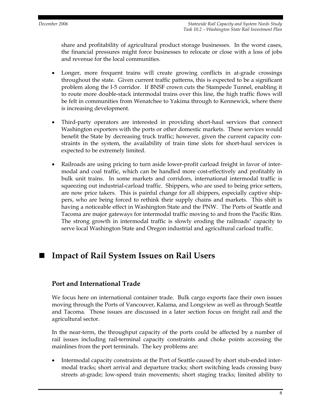share and profitability of agricultural product storage businesses. In the worst cases, the financial pressures might force businesses to relocate or close with a loss of jobs and revenue for the local communities.

- Longer, more frequent trains will create growing conflicts in at-grade crossings throughout the state. Given current traffic patterns, this is expected to be a significant problem along the I-5 corridor. If BNSF crown cuts the Stampede Tunnel, enabling it to route more double-stack intermodal trains over this line, the high traffic flows will be felt in communities from Wenatchee to Yakima through to Kennewick, where there is increasing development.
- Third-party operators are interested in providing short-haul services that connect Washington exporters with the ports or other domestic markets. These services would benefit the State by decreasing truck traffic; however, given the current capacity constraints in the system, the availability of train time slots for short-haul services is expected to be extremely limited.
- Railroads are using pricing to turn aside lower-profit carload freight in favor of intermodal and coal traffic, which can be handled more cost-effectively and profitably in bulk unit trains. In some markets and corridors, international intermodal traffic is squeezing out industrial-carload traffic. Shippers, who are used to being price setters, are now price takers. This is painful change for all shippers, especially captive shippers, who are being forced to rethink their supply chains and markets. This shift is having a noticeable effect in Washington State and the PNW. The Ports of Seattle and Tacoma are major gateways for intermodal traffic moving to and from the Pacific Rim. The strong growth in intermodal traffic is slowly eroding the railroads' capacity to serve local Washington State and Oregon industrial and agricultural carload traffic.

## **Impact of Rail System Issues on Rail Users**

#### **Port and International Trade**

We focus here on international container trade. Bulk cargo exports face their own issues moving through the Ports of Vancouver, Kalama, and Longview as well as through Seattle and Tacoma. Those issues are discussed in a later section focus on freight rail and the agricultural sector.

In the near-term, the throughput capacity of the ports could be affected by a number of rail issues including rail-terminal capacity constraints and choke points accessing the mainlines from the port terminals. The key problems are:

• Intermodal capacity constraints at the Port of Seattle caused by short stub-ended intermodal tracks; short arrival and departure tracks; short switching leads crossing busy streets at-grade; low-speed train movements; short staging tracks; limited ability to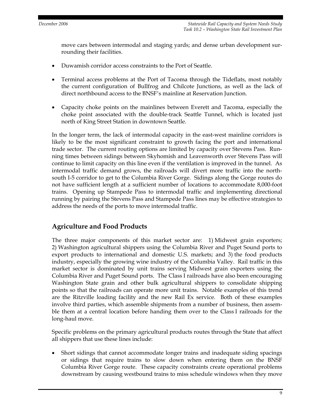move cars between intermodal and staging yards; and dense urban development surrounding their facilities.

- Duwamish corridor access constraints to the Port of Seattle.
- Terminal access problems at the Port of Tacoma through the Tideflats, most notably the current configuration of Bullfrog and Chilcote Junctions, as well as the lack of direct northbound access to the BNSF's mainline at Reservation Junction.
- Capacity choke points on the mainlines between Everett and Tacoma, especially the choke point associated with the double-track Seattle Tunnel, which is located just north of King Street Station in downtown Seattle.

In the longer term, the lack of intermodal capacity in the east-west mainline corridors is likely to be the most significant constraint to growth facing the port and international trade sector. The current routing options are limited by capacity over Stevens Pass. Running times between sidings between Skyhomish and Leavenworth over Stevens Pass will continue to limit capacity on this line even if the ventilation is improved in the tunnel. As intermodal traffic demand grows, the railroads will divert more traffic into the northsouth I-5 corridor to get to the Columbia River Gorge. Sidings along the Gorge routes do not have sufficient length at a sufficient number of locations to accommodate 8,000-foot trains. Opening up Stampede Pass to intermodal traffic and implementing directional running by pairing the Stevens Pass and Stampede Pass lines may be effective strategies to address the needs of the ports to move intermodal traffic.

#### **Agriculture and Food Products**

The three major components of this market sector are: 1) Midwest grain exporters; 2) Washington agricultural shippers using the Columbia River and Puget Sound ports to export products to international and domestic U.S. markets; and 3) the food products industry, especially the growing wine industry of the Columbia Valley. Rail traffic in this market sector is dominated by unit trains serving Midwest grain exporters using the Columbia River and Puget Sound ports. The Class I railroads have also been encouraging Washington State grain and other bulk agricultural shippers to consolidate shipping points so that the railroads can operate more unit trains. Notable examples of this trend are the Ritzville loading facility and the new Rail Ex service. Both of these examples involve third parties, which assemble shipments from a number of business, then assemble them at a central location before handing them over to the Class I railroads for the long-haul move.

Specific problems on the primary agricultural products routes through the State that affect all shippers that use these lines include:

• Short sidings that cannot accommodate longer trains and inadequate siding spacings or sidings that require trains to slow down when entering them on the BNSF Columbia River Gorge route. These capacity constraints create operational problems downstream by causing westbound trains to miss schedule windows when they move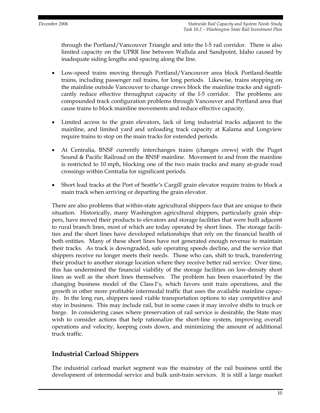through the Portland/Vancouver Triangle and into the I-5 rail corridor. There is also limited capacity on the UPRR line between Wallula and Sandpoint, Idaho caused by inadequate siding lengths and spacing along the line.

- Low-speed trains moving through Portland/Vancouver area block Portland-Seattle trains, including passenger rail trains, for long periods. Likewise, trains stopping on the mainline outside Vancouver to change crews block the mainline tracks and significantly reduce effective throughput capacity of the I-5 corridor. The problems are compounded track configuration problems through Vancouver and Portland area that cause trains to block mainline movements and reduce effective capacity.
- Limited access to the grain elevators, lack of long industrial tracks adjacent to the mainline, and limited yard and unloading track capacity at Kalama and Longview require trains to stop on the main tracks for extended periods.
- At Centralia, BNSF currently interchanges trains (changes crews) with the Puget Sound & Pacific Railroad on the BNSF mainline. Movement to and from the mainline is restricted to 10 mph, blocking one of the two main tracks and many at-grade road crossings within Centralia for significant periods.
- Short lead tracks at the Port of Seattle's Cargill grain elevator require trains to block a main track when arriving or departing the grain elevator.

There are also problems that within-state agricultural shippers face that are unique to their situation. Historically, many Washington agricultural shippers, particularly grain shippers, have moved their products to elevators and storage facilities that were built adjacent to rural branch lines, most of which are today operated by short lines. The storage facilities and the short lines have developed relationships that rely on the financial health of both entities. Many of these short lines have not generated enough revenue to maintain their tracks. As track is downgraded, safe operating speeds decline, and the service that shippers receive no longer meets their needs. Those who can, shift to truck, transferring their product to another storage location where they receive better rail service. Over time, this has undermined the financial viability of the storage facilities on low-density short lines as well as the short lines themselves. The problem has been exacerbated by the changing business model of the Class I's, which favors unit train operations, and the growth in other more profitable intermodal traffic that uses the available mainline capacity. In the long run, shippers need viable transportation options to stay competitive and stay in business. This may include rail, but in some cases it may involve shifts to truck or barge. In considering cases where preservation of rail service is desirable, the State may wish to consider actions that help rationalize the short-line system, improving overall operations and velocity, keeping costs down, and minimizing the amount of additional truck traffic.

#### **Industrial Carload Shippers**

The industrial carload market segment was the mainstay of the rail business until the development of intermodal service and bulk unit-train services. It is still a large market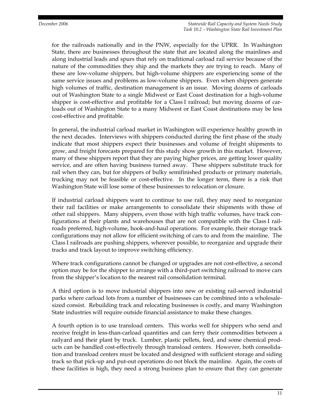for the railroads nationally and in the PNW, especially for the UPRR. In Washington State, there are businesses throughout the state that are located along the mainlines and along industrial leads and spurs that rely on traditional carload rail service because of the nature of the commodities they ship and the markets they are trying to reach. Many of these are low-volume shippers, but high-volume shippers are experiencing some of the same service issues and problems as low-volume shippers. Even when shippers generate high volumes of traffic, destination management is an issue. Moving dozens of carloads out of Washington State to a single Midwest or East Coast destination for a high-volume shipper is cost-effective and profitable for a Class I railroad; but moving dozens of carloads out of Washington State to a many Midwest or East Coast destinations may be less cost-effective and profitable.

In general, the industrial carload market in Washington will experience healthy growth in the next decades. Interviews with shippers conducted during the first phase of the study indicate that most shippers expect their businesses and volume of freight shipments to grow, and freight forecasts prepared for this study show growth in this market. However, many of these shippers report that they are paying higher prices, are getting lower quality service, and are often having business turned away. These shippers substitute truck for rail when they can, but for shippers of bulky semifinished products or primary materials, trucking may not be feasible or cost-effective. In the longer term, there is a risk that Washington State will lose some of these businesses to relocation or closure.

If industrial carload shippers want to continue to use rail, they may need to reorganize their rail facilities or make arrangements to consolidate their shipments with those of other rail shippers. Many shippers, even those with high traffic volumes, have track configurations at their plants and warehouses that are not compatible with the Class I railroads preferred, high-volume, hook-and-haul operations. For example, their storage track configurations may not allow for efficient switching of cars to and from the mainline. The Class I railroads are pushing shippers, wherever possible, to reorganize and upgrade their tracks and track layout to improve switching efficiency.

Where track configurations cannot be changed or upgrades are not cost-effective, a second option may be for the shipper to arrange with a third-part switching railroad to move cars from the shipper's location to the nearest rail consolidation terminal.

A third option is to move industrial shippers into new or existing rail-served industrial parks where carload lots from a number of businesses can be combined into a wholesalesized consist. Rebuilding track and relocating businesses is costly, and many Washington State industries will require outside financial assistance to make these changes.

A fourth option is to use transload centers. This works well for shippers who send and receive freight in less-than-carload quantities and can ferry their commodities between a railyard and their plant by truck. Lumber, plastic pellets, feed, and some chemical products can be handled cost-effectively through transload centers. However, both consolidation and transload centers must be located and designed with sufficient storage and siding track so that pick-up and put-out operations do not block the mainline. Again, the costs of these facilities is high, they need a strong business plan to ensure that they can generate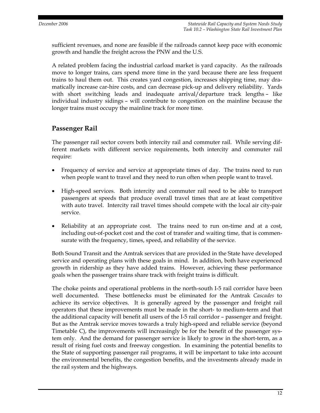sufficient revenues, and none are feasible if the railroads cannot keep pace with economic growth and handle the freight across the PNW and the U.S.

A related problem facing the industrial carload market is yard capacity. As the railroads move to longer trains, cars spend more time in the yard because there are less frequent trains to haul them out. This creates yard congestion, increases shipping time, may dramatically increase car-hire costs, and can decrease pick-up and delivery reliability. Yards with short switching leads and inadequate arrival/departure track lengths – like individual industry sidings – will contribute to congestion on the mainline because the longer trains must occupy the mainline track for more time.

#### **Passenger Rail**

The passenger rail sector covers both intercity rail and commuter rail. While serving different markets with different service requirements, both intercity and commuter rail require:

- Frequency of service and service at appropriate times of day. The trains need to run when people want to travel and they need to run often when people want to travel.
- High-speed services. Both intercity and commuter rail need to be able to transport passengers at speeds that produce overall travel times that are at least competitive with auto travel. Intercity rail travel times should compete with the local air city-pair service.
- Reliability at an appropriate cost. The trains need to run on-time and at a cost, including out-of-pocket cost and the cost of transfer and waiting time, that is commensurate with the frequency, times, speed, and reliability of the service.

Both Sound Transit and the Amtrak services that are provided in the State have developed service and operating plans with these goals in mind. In addition, both have experienced growth in ridership as they have added trains. However, achieving these performance goals when the passenger trains share track with freight trains is difficult.

The choke points and operational problems in the north-south I-5 rail corridor have been well documented. These bottlenecks must be eliminated for the Amtrak *Cascades* to achieve its service objectives. It is generally agreed by the passenger and freight rail operators that these improvements must be made in the short- to medium-term and that the additional capacity will benefit all users of the I-5 rail corridor – passenger and freight. But as the Amtrak service moves towards a truly high-speed and reliable service (beyond Timetable C), the improvements will increasingly be for the benefit of the passenger system only. And the demand for passenger service is likely to grow in the short-term, as a result of rising fuel costs and freeway congestion. In examining the potential benefits to the State of supporting passenger rail programs, it will be important to take into account the environmental benefits, the congestion benefits, and the investments already made in the rail system and the highways.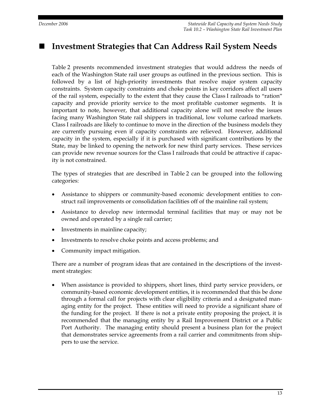# **Investment Strategies that Can Address Rail System Needs**

Table 2 presents recommended investment strategies that would address the needs of each of the Washington State rail user groups as outlined in the previous section. This is followed by a list of high-priority investments that resolve major system capacity constraints. System capacity constraints and choke points in key corridors affect all users of the rail system, especially to the extent that they cause the Class I railroads to "ration" capacity and provide priority service to the most profitable customer segments. It is important to note, however, that additional capacity alone will not resolve the issues facing many Washington State rail shippers in traditional, low volume carload markets. Class I railroads are likely to continue to move in the direction of the business models they are currently pursuing even if capacity constraints are relieved. However, additional capacity in the system, especially if it is purchased with significant contributions by the State, may be linked to opening the network for new third party services. These services can provide new revenue sources for the Class I railroads that could be attractive if capacity is not constrained.

The types of strategies that are described in Table 2 can be grouped into the following categories:

- Assistance to shippers or community-based economic development entities to construct rail improvements or consolidation facilities off of the mainline rail system;
- Assistance to develop new intermodal terminal facilities that may or may not be owned and operated by a single rail carrier;
- Investments in mainline capacity;
- Investments to resolve choke points and access problems; and
- Community impact mitigation.

There are a number of program ideas that are contained in the descriptions of the investment strategies:

• When assistance is provided to shippers, short lines, third party service providers, or community-based economic development entities, it is recommended that this be done through a formal call for projects with clear eligibility criteria and a designated managing entity for the project. These entities will need to provide a significant share of the funding for the project. If there is not a private entity proposing the project, it is recommended that the managing entity by a Rail Improvement District or a Public Port Authority. The managing entity should present a business plan for the project that demonstrates service agreements from a rail carrier and commitments from shippers to use the service.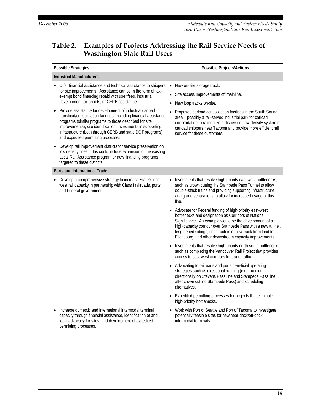### **Table 2. Examples of Projects Addressing the Rail Service Needs of Washington State Rail Users**

| <b>Possible Strategies</b>                                                                                                                                                                                                                                                                                                                                     | Possible Projects/Actions                                                                                                                                                                                                                                                                                                                                          |  |
|----------------------------------------------------------------------------------------------------------------------------------------------------------------------------------------------------------------------------------------------------------------------------------------------------------------------------------------------------------------|--------------------------------------------------------------------------------------------------------------------------------------------------------------------------------------------------------------------------------------------------------------------------------------------------------------------------------------------------------------------|--|
| <b>Industrial Manufacturers</b>                                                                                                                                                                                                                                                                                                                                |                                                                                                                                                                                                                                                                                                                                                                    |  |
| Offer financial assistance and technical assistance to shippers<br>for site improvements. Assistance can be in the form of tax-<br>exempt bond financing repaid with user fees, industrial<br>development tax credits, or CERB assistance.                                                                                                                     | New on-site storage track.<br>$\bullet$<br>Site access improvements off mainline.<br>New loop tracks on-site.                                                                                                                                                                                                                                                      |  |
| Provide assistance for development of industrial carload<br>transload/consolidation facilities, including financial assistance<br>programs (similar programs to those described for site<br>improvements), site identification; investments in supporting<br>infrastructure (both through CERB and state DOT programs),<br>and expedited permitting processes. | Proposed carload consolidation facilities in the South Sound<br>area - possibly a rail-served industrial park for carload<br>consolidation to rationalize a dispersed, low-density system of<br>carload shippers near Tacoma and provide more efficient rail<br>service for these customers.                                                                       |  |
| Develop rail improvement districts for service preservation on<br>low density lines. This could include expansion of the existing<br>Local Rail Assistance program or new financing programs<br>targeted to these districts.                                                                                                                                   |                                                                                                                                                                                                                                                                                                                                                                    |  |
| Ports and International Trade                                                                                                                                                                                                                                                                                                                                  |                                                                                                                                                                                                                                                                                                                                                                    |  |
| Develop a comprehensive strategy to increase State's east-<br>west rail capacity in partnership with Class I railroads, ports,<br>and Federal government.                                                                                                                                                                                                      | Investments that resolve high-priority east-west bottlenecks,<br>such as crown cutting the Stampede Pass Tunnel to allow<br>double-stack trains and providing supporting infrastructure<br>and grade separations to allow for increased usage of this<br>line.                                                                                                     |  |
|                                                                                                                                                                                                                                                                                                                                                                | Advocate for Federal funding of high-priority east-west<br>bottlenecks and designation as Corridors of National<br>Significance. An example would be the development of a<br>high-capacity corridor over Stampede Pass with a new tunnel,<br>lengthened sidings, construction of new track from Lind to<br>Ellensburg, and other downstream capacity improvements. |  |
|                                                                                                                                                                                                                                                                                                                                                                | Investments that resolve high-priority north-south bottlenecks,<br>such as completing the Vancouver Rail Project that provides<br>access to east-west corridors for trade traffic.                                                                                                                                                                                 |  |
|                                                                                                                                                                                                                                                                                                                                                                | Advocating to railroads and ports beneficial operating<br>strategies such as directional running (e.g., running<br>directionally on Stevens Pass line and Stampede Pass line<br>after crown cutting Stampede Pass) and scheduling<br>alternatives.                                                                                                                 |  |
|                                                                                                                                                                                                                                                                                                                                                                | Expedited permitting processes for projects that eliminate<br>high-priority bottlenecks.                                                                                                                                                                                                                                                                           |  |
| Increase domestic and international intermodal terminal<br>capacity through financial assistance, identification of and<br>local advocacy for sites, and development of expedited<br>permitting processes.                                                                                                                                                     | • Work with Port of Seattle and Port of Tacoma to investigate<br>potentially feasible sites for new near-dock/off-dock<br>intermodal terminals.                                                                                                                                                                                                                    |  |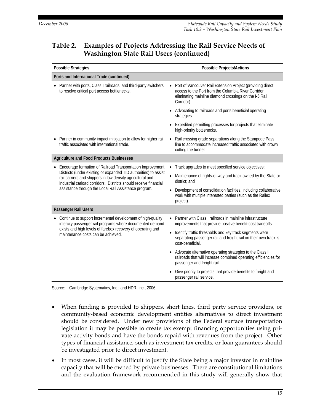#### **Table 2. Examples of Projects Addressing the Rail Service Needs of Washington State Rail Users (continued)**

| <b>Possible Strategies</b>                                                                                                                                                                         | <b>Possible Projects/Actions</b>                                                                                                                                                                       |  |  |  |
|----------------------------------------------------------------------------------------------------------------------------------------------------------------------------------------------------|--------------------------------------------------------------------------------------------------------------------------------------------------------------------------------------------------------|--|--|--|
| Ports and International Trade (continued)                                                                                                                                                          |                                                                                                                                                                                                        |  |  |  |
| Partner with ports, Class I railroads, and third-party switchers<br>to resolve critical port access bottlenecks.                                                                                   | Port of Vancouver Rail Extension Project (providing direct<br>$\bullet$<br>access to the Port from the Columbia River Corridor<br>eliminating mainline diamond crossings on the I-5 Rail<br>Corridor). |  |  |  |
|                                                                                                                                                                                                    | Advocating to railroads and ports beneficial operating<br>strategies.                                                                                                                                  |  |  |  |
|                                                                                                                                                                                                    | Expedited permitting processes for projects that eliminate<br>high-priority bottlenecks.                                                                                                               |  |  |  |
| Partner in community impact mitigation to allow for higher rail<br>traffic associated with international trade.                                                                                    | Rail crossing grade separations along the Stampede Pass<br>$\bullet$<br>line to accommodate increased traffic associated with crown<br>cutting the tunnel.                                             |  |  |  |
| <b>Agriculture and Food Products Businesses</b>                                                                                                                                                    |                                                                                                                                                                                                        |  |  |  |
| Encourage formation of Railroad Transportation Improvement                                                                                                                                         | Track upgrades to meet specified service objectives;<br>$\bullet$                                                                                                                                      |  |  |  |
| Districts (under existing or expanded TID authorities) to assist<br>rail carriers and shippers in low density agricultural and<br>industrial carload corridors. Districts should receive financial | Maintenance of rights-of-way and track owned by the State or<br>$\bullet$<br>district: and                                                                                                             |  |  |  |
| assistance through the Local Rail Assistance program.                                                                                                                                              | Development of consolidation facilities, including collaborative<br>$\bullet$<br>work with multiple interested parties (such as the Railex<br>project).                                                |  |  |  |
| Passenger Rail Users                                                                                                                                                                               |                                                                                                                                                                                                        |  |  |  |
| Continue to support incremental development of high-quality<br>intercity passenger rail programs where documented demand                                                                           | Partner with Class I railroads in mainline infrastructure<br>$\bullet$<br>improvements that provide positive benefit-cost tradeoffs.                                                                   |  |  |  |
| exists and high levels of farebox recovery of operating and<br>maintenance costs can be achieved.                                                                                                  | Identify traffic thresholds and key track segments were<br>$\bullet$<br>separating passenger rail and freight rail on their own track is<br>cost-beneficial.                                           |  |  |  |
|                                                                                                                                                                                                    | Advocate alternative operating strategies to the Class I<br>٠<br>railroads that will increase combined operating efficiencies for<br>passenger and freight rail.                                       |  |  |  |
|                                                                                                                                                                                                    | Give priority to projects that provide benefits to freight and<br>passenger rail service.                                                                                                              |  |  |  |

Source: Cambridge Systematics, Inc.; and HDR, Inc., 2006.

- When funding is provided to shippers, short lines, third party service providers, or community-based economic development entities alternatives to direct investment should be considered. Under new provisions of the Federal surface transportation legislation it may be possible to create tax exempt financing opportunities using private activity bonds and have the bonds repaid with revenues from the project. Other types of financial assistance, such as investment tax credits, or loan guarantees should be investigated prior to direct investment.
- In most cases, it will be difficult to justify the State being a major investor in mainline capacity that will be owned by private businesses. There are constitutional limitations and the evaluation framework recommended in this study will generally show that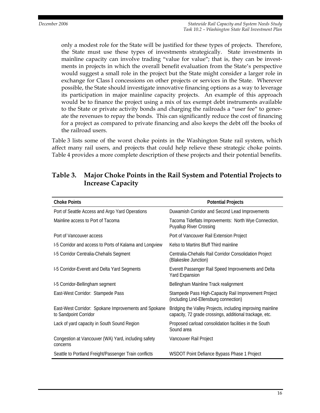only a modest role for the State will be justified for these types of projects. Therefore, the State must use these types of investments strategically. State investments in mainline capacity can involve trading "value for value"; that is, they can be investments in projects in which the overall benefit evaluation from the State's perspective would suggest a small role in the project but the State might consider a larger role in exchange for Class I concessions on other projects or services in the State. Wherever possible, the State should investigate innovative financing options as a way to leverage its participation in major mainline capacity projects. An example of this approach would be to finance the project using a mix of tax exempt debt instruments available to the State or private activity bonds and charging the railroads a "user fee" to generate the revenues to repay the bonds. This can significantly reduce the cost of financing for a project as compared to private financing and also keeps the debt off the books of the railroad users.

Table 3 lists some of the worst choke points in the Washington State rail system, which affect many rail users, and projects that could help relieve these strategic choke points. Table 4 provides a more complete description of these projects and their potential benefits.

| <b>Choke Points</b>                                                           | <b>Potential Projects</b>                                                                                             |
|-------------------------------------------------------------------------------|-----------------------------------------------------------------------------------------------------------------------|
| Port of Seattle Access and Argo Yard Operations                               | Duwamish Corridor and Second Lead Improvements                                                                        |
| Mainline access to Port of Tacoma                                             | Tacoma Tideflats Improvements: North Wye Connection,<br><b>Puyallup River Crossing</b>                                |
| Port of Vancouver access                                                      | Port of Vancouver Rail Extension Project                                                                              |
| 1-5 Corridor and access to Ports of Kalama and Longview                       | Kelso to Martins Bluff Third mainline                                                                                 |
| I-5 Corridor Centralia-Chehalis Segment                                       | Centralia-Chehalis Rail Corridor Consolidation Project<br>(Blakeslee Junction)                                        |
| I-5 Corridor-Everett and Delta Yard Segments                                  | Everett Passenger Rail Speed Improvements and Delta<br><b>Yard Expansion</b>                                          |
| I-5 Corridor-Bellingham segment                                               | Bellingham Mainline Track realignment                                                                                 |
| East-West Corridor: Stampede Pass                                             | Stampede Pass High-Capacity Rail Improvement Project<br>(including Lind-Ellensburg connection)                        |
| East-West Corridor: Spokane Improvements and Spokane<br>to Sandpoint Corridor | Bridging the Valley Projects, including improving mainline<br>capacity, 72 grade crossings, additional trackage, etc. |
| Lack of yard capacity in South Sound Region                                   | Proposed carload consolidation facilities in the South<br>Sound area                                                  |
| Congestion at Vancouver (WA) Yard, including safety<br>concerns               | Vancouver Rail Project                                                                                                |
| Seattle to Portland Freight/Passenger Train conflicts                         | WSDOT Point Defiance Bypass Phase 1 Project                                                                           |

#### **Table 3. Major Choke Points in the Rail System and Potential Projects to Increase Capacity**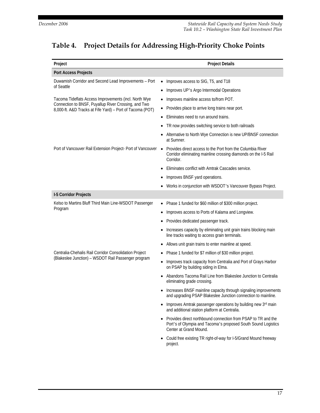# **Table 4. Project Details for Addressing High-Priority Choke Points**

| Project                                                                                                           | <b>Project Details</b>                                                                                                                                   |  |  |
|-------------------------------------------------------------------------------------------------------------------|----------------------------------------------------------------------------------------------------------------------------------------------------------|--|--|
| <b>Port Access Projects</b>                                                                                       |                                                                                                                                                          |  |  |
| Duwamish Corridor and Second Lead Improvements - Port                                                             | Improves access to SIG, T5, and T18<br>$\bullet$                                                                                                         |  |  |
| of Seattle                                                                                                        | Improves UP's Argo Intermodal Operations                                                                                                                 |  |  |
| Tacoma Tideflats Access Improvements (incl. North Wye                                                             | Improves mainline access to/from POT.<br>$\bullet$                                                                                                       |  |  |
| Connection to BNSF, Puyallup River Crossing, and Two<br>8,000-ft. A&D Tracks at Fife Yard) - Port of Tacoma (POT) | Provides place to arrive long trains near port.<br>$\bullet$                                                                                             |  |  |
|                                                                                                                   | Eliminates need to run around trains.                                                                                                                    |  |  |
|                                                                                                                   | TR now provides switching service to both railroads                                                                                                      |  |  |
|                                                                                                                   | Alternative to North Wye Connection is new UP/BNSF connection<br>$\bullet$<br>at Sumner.                                                                 |  |  |
| Port of Vancouver Rail Extension Project- Port of Vancouver                                                       | Provides direct access to the Port from the Columbia River<br>$\bullet$<br>Corridor eliminating mainline crossing diamonds on the I-5 Rail<br>Corridor.  |  |  |
|                                                                                                                   | Eliminates conflict with Amtrak Cascades service.                                                                                                        |  |  |
|                                                                                                                   | Improves BNSF yard operations.                                                                                                                           |  |  |
|                                                                                                                   | Works in conjunction with WSDOT's Vancouver Bypass Project.<br>$\bullet$                                                                                 |  |  |
| <b>I-5 Corridor Projects</b>                                                                                      |                                                                                                                                                          |  |  |
| Kelso to Martins Bluff Third Main Line-WSDOT Passenger                                                            | Phase 1 funded for \$60 million of \$300 million project.<br>$\bullet$                                                                                   |  |  |
| Program                                                                                                           | Improves access to Ports of Kalama and Longview.                                                                                                         |  |  |
|                                                                                                                   | Provides dedicated passenger track.                                                                                                                      |  |  |
|                                                                                                                   | Increases capacity by eliminating unit grain trains blocking main<br>$\bullet$<br>line tracks waiting to access grain terminals.                         |  |  |
|                                                                                                                   | Allows unit grain trains to enter mainline at speed.                                                                                                     |  |  |
| Centralia-Chehalis Rail Corridor Consolidation Project                                                            | Phase 1 funded for \$7 million of \$30 million project.                                                                                                  |  |  |
| (Blakeslee Junction) - WSDOT Rail Passenger program                                                               | Improves track capacity from Centralia and Port of Grays Harbor<br>on PSAP by building siding in Elma.                                                   |  |  |
|                                                                                                                   | Abandons Tacoma Rail Line from Blakeslee Junction to Centralia<br>eliminating grade crossing.                                                            |  |  |
|                                                                                                                   | Increases BNSF mainline capacity through signaling improvements<br>$\bullet$<br>and upgrading PSAP Blakeslee Junction connection to mainline.            |  |  |
|                                                                                                                   | Improves Amtrak passenger operations by building new 3rd main<br>$\bullet$<br>and additional station platform at Centralia.                              |  |  |
|                                                                                                                   | Provides direct northbound connection from PSAP to TR and the<br>Port's of Olympia and Tacoma's proposed South Sound Logistics<br>Center at Grand Mound. |  |  |
|                                                                                                                   | Could free existing TR right-of-way for I-5/Grand Mound freeway<br>$\bullet$<br>project.                                                                 |  |  |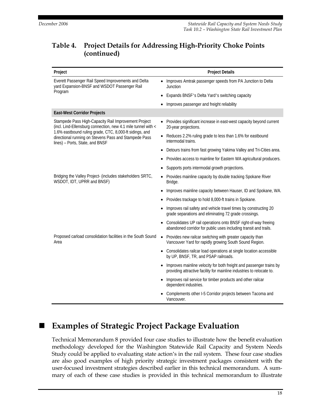#### **Table 4. Project Details for Addressing High-Priority Choke Points (continued)**

| Project                                                                                                                                             | <b>Project Details</b>                                                                                                                       |
|-----------------------------------------------------------------------------------------------------------------------------------------------------|----------------------------------------------------------------------------------------------------------------------------------------------|
| Everett Passenger Rail Speed Improvements and Delta<br>yard Expansion-BNSF and WSDOT Passenger Rail                                                 | Improves Amtrak passenger speeds from PA Junction to Delta<br>Junction                                                                       |
| Program                                                                                                                                             | Expands BNSF's Delta Yard's switching capacity<br>$\bullet$                                                                                  |
|                                                                                                                                                     | Improves passenger and freight reliability                                                                                                   |
| <b>East-West Corridor Projects</b>                                                                                                                  |                                                                                                                                              |
| Stampede Pass High-Capacity Rail Improvement Project<br>(incl. Lind-Ellensburg connection, new 4.1 mile tunnel with <                               | Provides significant increase in east-west capacity beyond current<br>$\bullet$<br>20-year projections.                                      |
| 1.6% eastbound ruling grade, CTC, 8,000-ft sidings, and<br>directional running on Stevens Pass and Stampede Pass<br>lines) - Ports, State, and BNSF | Reduces 2.2% ruling grade to less than 1.6% for eastbound<br>intermodal trains.                                                              |
|                                                                                                                                                     | Detours trains from fast growing Yakima Valley and Tri-Cities area.<br>$\bullet$                                                             |
|                                                                                                                                                     | Provides access to mainline for Eastern WA agricultural producers.                                                                           |
|                                                                                                                                                     | Supports ports intermodal growth projections.                                                                                                |
| Bridging the Valley Project- (includes stakeholders SRTC,<br>WSDOT, IDT, UPRR and BNSF)                                                             | Provides mainline capacity by double tracking Spokane River<br>Bridge.                                                                       |
|                                                                                                                                                     | Improves mainline capacity between Hauser, ID and Spokane, WA.<br>$\bullet$                                                                  |
|                                                                                                                                                     | Provides trackage to hold 8,000-ft trains in Spokane.                                                                                        |
|                                                                                                                                                     | Improves rail safety and vehicle travel times by constructing 20<br>grade separations and eliminating 72 grade crossings.                    |
|                                                                                                                                                     | Consolidates UP rail operations onto BNSF right-of-way freeing<br>abandoned corridor for public uses including transit and trails.           |
| Proposed carload consolidation facilities in the South Sound<br>Area                                                                                | Provides new railcar switching with greater capacity than<br>$\bullet$<br>Vancouver Yard for rapidly growing South Sound Region.             |
|                                                                                                                                                     | • Consolidates railcar load operations at single location accessible<br>by UP, BNSF, TR, and PSAP railroads.                                 |
|                                                                                                                                                     | Improves mainline velocity for both freight and passenger trains by<br>providing attractive facility for mainline industries to relocate to. |
|                                                                                                                                                     | Improves rail service for timber products and other railcar<br>$\bullet$<br>dependent industries.                                            |
|                                                                                                                                                     | Complements other I-5 Corridor projects between Tacoma and<br>Vancouver.                                                                     |

# ■ Examples of Strategic Project Package Evaluation

Technical Memorandum 8 provided four case studies to illustrate how the benefit evaluation methodology developed for the Washington Statewide Rail Capacity and System Needs Study could be applied to evaluating state action's in the rail system. These four case studies are also good examples of high priority strategic investment packages consistent with the user-focused investment strategies described earlier in this technical memorandum. A summary of each of these case studies is provided in this technical memorandum to illustrate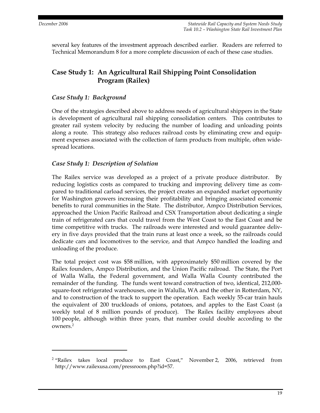<u>.</u>

several key features of the investment approach described earlier. Readers are referred to Technical Memorandum 8 for a more complete discussion of each of these case studies.

#### **Case Study 1: An Agricultural Rail Shipping Point Consolidation Program (Railex)**

#### *Case Study 1: Background*

One of the strategies described above to address needs of agricultural shippers in the State is development of agricultural rail shipping consolidation centers. This contributes to greater rail system velocity by reducing the number of loading and unloading points along a route. This strategy also reduces railroad costs by eliminating crew and equipment expenses associated with the collection of farm products from multiple, often widespread locations.

#### *Case Study 1: Description of Solution*

The Railex service was developed as a project of a private produce distributor. By reducing logistics costs as compared to trucking and improving delivery time as compared to traditional carload services, the project creates an expanded market opportunity for Washington growers increasing their profitability and bringing associated economic benefits to rural communities in the State. The distributor, Ampco Distribution Services, approached the Union Pacific Railroad and CSX Transportation about dedicating a single train of refrigerated cars that could travel from the West Coast to the East Coast and be time competitive with trucks. The railroads were interested and would guarantee delivery in five days provided that the train runs at least once a week, so the railroads could dedicate cars and locomotives to the service, and that Ampco handled the loading and unloading of the produce.

The total project cost was \$58 million, with approximately \$50 million covered by the Railex founders, Ampco Distribution, and the Union Pacific railroad. The State, the Port of Walla Walla, the Federal government, and Walla Walla County contributed the remainder of the funding. The funds went toward construction of two, identical, 212,000 square-foot refrigerated warehouses, one in Walulla, WA and the other in Rotterdam, NY, and to construction of the track to support the operation. Each weekly 55-car train hauls the equivalent of 200 truckloads of onions, potatoes, and apples to the East Coast (a weekly total of 8 million pounds of produce). The Railex facility employees about 100 people, although within three years, that number could double according to the owners.2

<sup>&</sup>lt;sup>2</sup> "Railex takes local produce to East Coast," November 2, 2006, retrieved from http://www.railexusa.com/pressroom.php?id=57.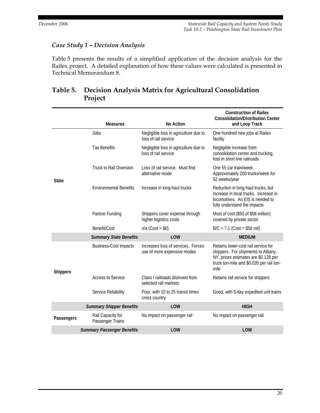#### *Case Study 1 – Decision Analysis*

Table 5 presents the results of a simplified application of the decision analysis for the Railex project. A detailed explanation of how these values were calculated is presented in Technical Memorandum 8.

|                 | <b>Measures</b>                       | <b>No Action</b>                                                  | <b>Construction of Railex</b><br><b>Consolidation/Distribution Center</b><br>and Loop Track                                                                           |
|-----------------|---------------------------------------|-------------------------------------------------------------------|-----------------------------------------------------------------------------------------------------------------------------------------------------------------------|
|                 | <b>Jobs</b>                           | Negligible loss in agriculture due to<br>loss of rail service     | One hundred new jobs at Railex<br>facility                                                                                                                            |
| <b>State</b>    | <b>Tax Benefits</b>                   | Negligible loss in agriculture due to<br>loss of rail service     | Negligible increase from<br>consolidation center and trucking,<br>loss in short line railroads                                                                        |
|                 | <b>Truck to Rail Diversion</b>        | Loss of rail service. Must find<br>alternative mode               | One 55 car train/week.<br>Approximately 200 trucks/week for<br>52 weeks/year                                                                                          |
|                 | <b>Environmental Benefits</b>         | Increase in long-haul trucks                                      | Reduction in long-haul trucks, but<br>increase in local trucks. Increase in<br>locomotives. An EIS is needed to<br>fully understand the impacts                       |
|                 | Partner Funding                       | Shippers cover expense through<br>higher logistics costs          | Most of cost (\$50 of \$58 million)<br>covered by private sector                                                                                                      |
|                 | Benefit/Cost                          | $n/a$ (Cost = \$0)                                                | $B/C = 7.1$ (Cost = \$58 mil)                                                                                                                                         |
|                 | <b>Summary State Benefits</b>         | LOW                                                               | <b>MEDIUM</b>                                                                                                                                                         |
| <b>Shippers</b> | <b>Business-Cost Impacts</b>          | Increases loss of services. Forces<br>use of more expensive modes | Retains lower-cost rail service for<br>shippers. For shipments to Albany,<br>NY, prices estimates are \$0.128 per<br>truck ton-mile and \$0.035 per rail ton-<br>mile |
|                 | <b>Access to Service</b>              | Class I railroads disinvest from<br>selected rail markets         | Retains rail service for shippers                                                                                                                                     |
|                 | Service Reliability                   | Poor, with 10 to 25 transit times<br>cross country                | Good, with 5-day expedited unit trains                                                                                                                                |
|                 | <b>Summary Shipper Benefits</b>       | LOW                                                               | <b>HIGH</b>                                                                                                                                                           |
| Passengers      | Rail Capacity for<br>Passenger Trains | No impact on passenger rail                                       | No impact on passenger rail                                                                                                                                           |
|                 | <b>Summary Passenger Benefits</b>     | LOW                                                               | LOW                                                                                                                                                                   |

### **Table 5. Decision Analysis Matrix for Agricultural Consolidation Project**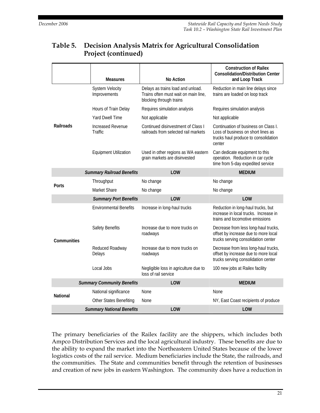| Table 5. | Decision Analysis Matrix for Agricultural Consolidation |
|----------|---------------------------------------------------------|
|          | <b>Project (continued)</b>                              |

|                              | <b>Measures</b>                            | <b>No Action</b>                                                                                     | <b>Construction of Railex</b><br><b>Consolidation/Distribution Center</b><br>and Loop Track                                  |
|------------------------------|--------------------------------------------|------------------------------------------------------------------------------------------------------|------------------------------------------------------------------------------------------------------------------------------|
|                              | System Velocity<br>Improvements            | Delays as trains load and unload.<br>Trains often must wait on main line,<br>blocking through trains | Reduction in main line delays since<br>trains are loaded on loop track                                                       |
|                              | Hours of Train Delay                       | Requires simulation analysis                                                                         | Requires simulation analysis                                                                                                 |
|                              | <b>Yard Dwell Time</b>                     | Not applicable                                                                                       | Not applicable                                                                                                               |
| <b>Railroads</b>             | <b>Increased Revenue</b><br><b>Traffic</b> | Continued disinvestment of Class I<br>railroads from selected rail markets                           | Continuation of business on Class I.<br>Loss of business on short lines as<br>trucks haul produce to consolidation<br>center |
|                              | <b>Equipment Utilization</b>               | Used in other regions as WA eastern<br>grain markets are disinvested                                 | Can dedicate equipment to this<br>operation. Reduction in car cycle<br>time from 5-day expedited service                     |
|                              | <b>Summary Railroad Benefits</b>           | LOW                                                                                                  | <b>MEDIUM</b>                                                                                                                |
| Ports                        | Throughput                                 | No change                                                                                            | No change                                                                                                                    |
|                              | Market Share                               | No change                                                                                            | No change                                                                                                                    |
| <b>Summary Port Benefits</b> |                                            | LOW                                                                                                  | <b>LOW</b>                                                                                                                   |
|                              | <b>Environmental Benefits</b>              | Increase in long-haul trucks                                                                         | Reduction in long-haul trucks, but<br>increase in local trucks. Increase in<br>trains and locomotive emissions               |
| Communities                  | Safety Benefits                            | Increase due to more trucks on<br>roadways                                                           | Decrease from less long-haul trucks,<br>offset by increase due to more local<br>trucks serving consolidation center          |
|                              | Reduced Roadway<br>Delays                  | Increase due to more trucks on<br>roadways                                                           | Decrease from less long-haul trucks,<br>offset by increase due to more local<br>trucks serving consolidation center          |
|                              | Local Jobs                                 | Negligible loss in agriculture due to<br>loss of rail service                                        | 100 new jobs at Railex facility                                                                                              |
|                              | <b>Summary Community Benefits</b>          | LOW                                                                                                  | <b>MEDIUM</b>                                                                                                                |
| <b>National</b>              | National significance                      | <b>None</b>                                                                                          | None                                                                                                                         |
|                              | Other States Benefiting                    | None                                                                                                 | NY, East Coast recipients of produce                                                                                         |
|                              | <b>Summary National Benefits</b>           | <b>LOW</b>                                                                                           | <b>LOW</b>                                                                                                                   |

The primary beneficiaries of the Railex facility are the shippers, which includes both Ampco Distribution Services and the local agricultural industry. These benefits are due to the ability to expand the market into the Northeastern United States because of the lower logistics costs of the rail service. Medium beneficiaries include the State, the railroads, and the communities. The State and communities benefit through the retention of businesses and creation of new jobs in eastern Washington. The community does have a reduction in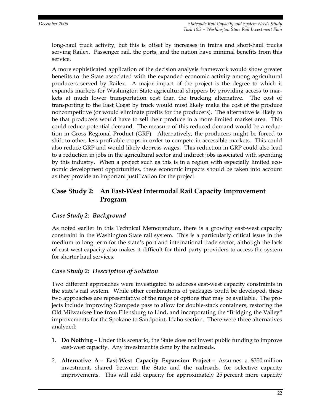long-haul truck activity, but this is offset by increases in trains and short-haul trucks serving Railex. Passenger rail, the ports, and the nation have minimal benefits from this service.

A more sophisticated application of the decision analysis framework would show greater benefits to the State associated with the expanded economic activity among agricultural producers served by Railex. A major impact of the project is the degree to which it expands markets for Washington State agricultural shippers by providing access to markets at much lower transportation cost than the trucking alternative. The cost of transporting to the East Coast by truck would most likely make the cost of the produce noncompetitive (or would eliminate profits for the producers). The alternative is likely to be that producers would have to sell their produce in a more limited market area. This could reduce potential demand. The measure of this reduced demand would be a reduction in Gross Regional Product (GRP). Alternatively, the producers might be forced to shift to other, less profitable crops in order to compete in accessible markets. This could also reduce GRP and would likely depress wages. This reduction in GRP could also lead to a reduction in jobs in the agricultural sector and indirect jobs associated with spending by this industry. When a project such as this is in a region with especially limited economic development opportunities, these economic impacts should be taken into account as they provide an important justification for the project.

#### **Case Study 2: An East-West Intermodal Rail Capacity Improvement Program**

#### *Case Study 2: Background*

As noted earlier in this Technical Memorandum, there is a growing east-west capacity constraint in the Washington State rail system. This is a particularly critical issue in the medium to long term for the state's port and international trade sector, although the lack of east-west capacity also makes it difficult for third party providers to access the system for shorter haul services.

#### *Case Study 2: Description of Solution*

Two different approaches were investigated to address east-west capacity constraints in the state's rail system. While other combinations of packages could be developed, these two approaches are representative of the range of options that may be available. The projects include improving Stampede pass to allow for double-stack containers, restoring the Old Milwaukee line from Ellensburg to Lind, and incorporating the "Bridging the Valley" improvements for the Spokane to Sandpoint, Idaho section. There were three alternatives analyzed:

- 1. **Do Nothing** Under this scenario, the State does not invest public funding to improve east-west capacity. Any investment is done by the railroads.
- 2. **Alternative A East-West Capacity Expansion Project** Assumes a \$350 million investment, shared between the State and the railroads, for selective capacity improvements. This will add capacity for approximately 25 percent more capacity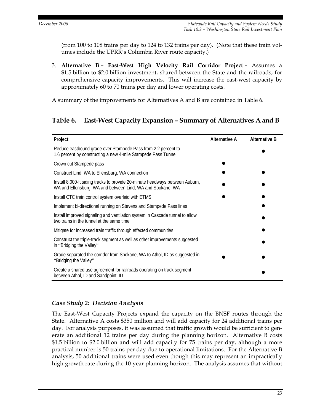(from 100 to 108 trains per day to 124 to 132 trains per day). (Note that these train volumes include the UPRR's Columbia River route capacity.)

3. **Alternative B – East-West High Velocity Rail Corridor Project –** Assumes a \$1.5 billion to \$2.0 billion investment, shared between the State and the railroads, for comprehensive capacity improvements. This will increase the east-west capacity by approximately 60 to 70 trains per day and lower operating costs.

A summary of the improvements for Alternatives A and B are contained in Table 6.

#### **Table 6. East-West Capacity Expansion – Summary of Alternatives A and B**

| Project                                                                                                                                    | Alternative A | <b>Alternative B</b> |
|--------------------------------------------------------------------------------------------------------------------------------------------|---------------|----------------------|
| Reduce eastbound grade over Stampede Pass from 2.2 percent to<br>1.6 percent by constructing a new 4-mile Stampede Pass Tunnel             |               |                      |
| Crown cut Stampede pass                                                                                                                    |               |                      |
| Construct Lind, WA to Ellensburg, WA connection                                                                                            |               |                      |
| Install 8,000-ft siding tracks to provide 20-minute headways between Auburn,<br>WA and Ellensburg, WA and between Lind, WA and Spokane, WA |               |                      |
| Install CTC train control system overlaid with ETMS                                                                                        |               |                      |
| Implement bi-directional running on Stevens and Stampede Pass lines                                                                        |               |                      |
| Install improved signaling and ventilation system in Cascade tunnel to allow<br>two trains in the tunnel at the same time                  |               |                      |
| Mitigate for increased train traffic through effected communities                                                                          |               |                      |
| Construct the triple-track segment as well as other improvements suggested<br>in "Bridging the Valley"                                     |               |                      |
| Grade separated the corridor from Spokane, WA to Athol, ID as suggested in<br>"Bridging the Valley"                                        |               |                      |
| Create a shared use agreement for railroads operating on track segment<br>between Athol, ID and Sandpoint, ID                              |               |                      |

#### *Case Study 2: Decision Analysis*

The East-West Capacity Projects expand the capacity on the BNSF routes through the State. Alternative A costs \$350 million and will add capacity for 24 additional trains per day. For analysis purposes, it was assumed that traffic growth would be sufficient to generate an additional 12 trains per day during the planning horizon. Alternative B costs \$1.5 billion to \$2.0 billion and will add capacity for 75 trains per day, although a more practical number is 50 trains per day due to operational limitations. For the Alternative B analysis, 50 additional trains were used even though this may represent an impractically high growth rate during the 10-year planning horizon. The analysis assumes that without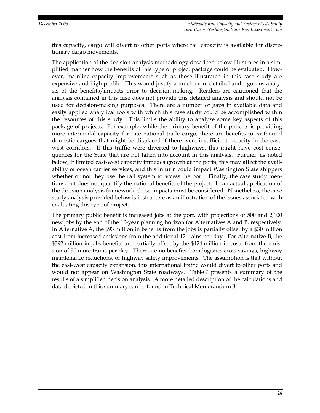this capacity, cargo will divert to other ports where rail capacity is available for discretionary cargo movements.

The application of the decision-analysis methodology described below illustrates in a simplified manner how the benefits of this type of project package could be evaluated. However, mainline capacity improvements such as those illustrated in this case study are expensive and high profile. This would justify a much more detailed and rigorous analysis of the benefits/impacts prior to decision-making. Readers are cautioned that the analysis contained in this case does not provide this detailed analysis and should not be used for decision-making purposes. There are a number of gaps in available data and easily applied analytical tools with which this case study could be accomplished within the resources of this study. This limits the ability to analyze some key aspects of this package of projects. For example, while the primary benefit of the projects is providing more intermodal capacity for international trade cargo, there are benefits to eastbound domestic cargoes that might be displaced if there were insufficient capacity in the eastwest corridors. If this traffic were diverted to highways, this might have cost consequences for the State that are not taken into account in this analysis. Further, as noted below, if limited east-west capacity impedes growth at the ports, this may affect the availability of ocean carrier services, and this in turn could impact Washington State shippers whether or not they use the rail system to access the port. Finally, the case study mentions, but does not quantify the national benefits of the project. In an actual application of the decision analysis framework, these impacts must be considered. Nonetheless, the case study analysis provided below is instructive as an illustration of the issues associated with evaluating this type of project.

The primary public benefit is increased jobs at the port, with projections of 500 and 2,100 new jobs by the end of the 10-year planning horizon for Alternatives A and B, respectively. In Alternative A, the \$93 million in benefits from the jobs is partially offset by a \$30 million cost from increased emissions from the additional 12 trains per day. For Alternative B, the \$392 million in jobs benefits are partially offset by the \$124 million in costs from the emission of 50 more trains per day. There are no benefits from logistics costs savings, highway maintenance reductions, or highway safety improvements. The assumption is that without the east-west capacity expansion, this international traffic would divert to other ports and would not appear on Washington State roadways. Table 7 presents a summary of the results of a simplified decision analysis. A more detailed description of the calculations and data depicted in this summary can be found in Technical Memorandum 8.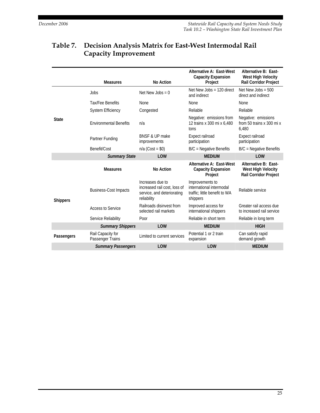|                 | <b>Measures</b>                       | No Action                                                                                     | Alternative A: East-West<br><b>Capacity Expansion</b><br>Project                         | Alternative B: East-<br>West High Velocity<br>Rail Corridor Project        |
|-----------------|---------------------------------------|-----------------------------------------------------------------------------------------------|------------------------------------------------------------------------------------------|----------------------------------------------------------------------------|
|                 | Jobs.                                 | Net New Jobs = $0$                                                                            | Net New Jobs = $120$ direct<br>and indirect                                              | Net New Jobs = $500$<br>direct and indirect                                |
|                 | Tax/Fee Benefits                      | <b>None</b>                                                                                   | <b>None</b>                                                                              | <b>None</b>                                                                |
|                 | <b>System Efficiency</b>              | Congested                                                                                     | Reliable                                                                                 | Reliable                                                                   |
| <b>State</b>    | <b>Environmental Benefits</b>         | n/a                                                                                           | Negative: emissions from<br>12 trains x 300 mi x 6,480<br>tons                           | Negative: emissions<br>from 50 trains x 300 mi x<br>6,480                  |
|                 | Partner Funding                       | <b>BNSF &amp; UP make</b><br>improvements                                                     | Expect railroad<br>participation                                                         | Expect railroad<br>participation                                           |
|                 | Benefit/Cost                          | $n/a$ (Cost = \$0)                                                                            | B/C = Negative Benefits                                                                  | B/C = Negative Benefits                                                    |
|                 | <b>Summary State</b>                  | LOW                                                                                           | <b>MEDIUM</b>                                                                            | LOW                                                                        |
|                 | <b>Measures</b>                       | <b>No Action</b>                                                                              | Alternative A: East-West<br><b>Capacity Expansion</b><br>Project                         | Alternative B: East-<br><b>West High Velocity</b><br>Rail Corridor Project |
| <b>Shippers</b> | <b>Business-Cost Impacts</b>          | Increases due to<br>increased rail cost, loss of<br>service, and deteriorating<br>reliability | Improvements to<br>international intermodal<br>traffic; little benefit to WA<br>shippers | Reliable service                                                           |
|                 | <b>Access to Service</b>              | Railroads disinvest from<br>selected rail markets                                             | Improved access for<br>international shippers                                            | Greater rail access due<br>to increased rail service                       |
|                 | Service Reliability                   | Poor                                                                                          | Reliable in short term                                                                   | Reliable in long term                                                      |
|                 | <b>Summary Shippers</b>               | LOW                                                                                           | <b>MEDIUM</b>                                                                            | <b>HIGH</b>                                                                |
| Passengers      | Rail Capacity for<br>Passenger Trains | Limited to current services                                                                   | Potential 1 or 2 train<br>expansion                                                      | Can satisfy rapid<br>demand growth                                         |
|                 | <b>Summary Passengers</b>             | LOW                                                                                           | LOW                                                                                      | <b>MEDIUM</b>                                                              |

### **Table 7. Decision Analysis Matrix for East-West Intermodal Rail Capacity Improvement**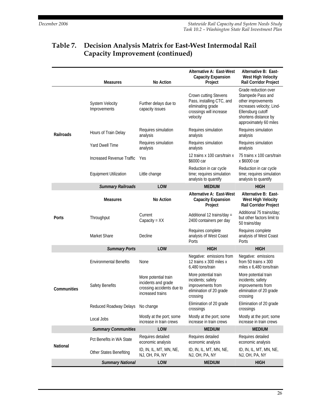|                  | <b>Measures</b>                        | <b>No Action</b>                                                                             | Alternative A: East-West<br><b>Capacity Expansion</b><br>Project                                               | Alternative B: East-<br>West High Velocity<br><b>Rail Corridor Project</b>                                                                                          |
|------------------|----------------------------------------|----------------------------------------------------------------------------------------------|----------------------------------------------------------------------------------------------------------------|---------------------------------------------------------------------------------------------------------------------------------------------------------------------|
|                  | <b>System Velocity</b><br>Improvements | Further delays due to<br>capacity issues                                                     | Crown cutting Stevens<br>Pass, installing CTC, and<br>eliminating grade<br>crossings will increase<br>velocity | Grade reduction over<br>Stampede Pass and<br>other improvements<br>increases velocity; Lind-<br>Ellensburg cutoff<br>shortens distance by<br>approximately 60 miles |
| <b>Railroads</b> | Hours of Train Delay                   | Requires simulation<br>analysis                                                              | Requires simulation<br>analysis                                                                                | Requires simulation<br>analysis                                                                                                                                     |
|                  | Yard Dwell Time                        | Requires simulation<br>analysis                                                              | Requires simulation<br>analysis                                                                                | Requires simulation<br>analysis                                                                                                                                     |
|                  | Increased Revenue Traffic              | Yes                                                                                          | 12 trains x 100 cars/train x<br>\$6000 car                                                                     | 75 trains x 100 cars/train<br>x \$6000 car                                                                                                                          |
|                  | <b>Equipment Utilization</b>           | Little change                                                                                | Reduction in car cycle<br>time; requires simulation<br>analysis to quantify                                    | Reduction in car cycle<br>time; requires simulation<br>analysis to quantify                                                                                         |
|                  | <b>Summary Railroads</b>               | LOW                                                                                          | <b>MEDIUM</b>                                                                                                  | <b>HIGH</b>                                                                                                                                                         |
|                  | <b>Measures</b>                        | <b>No Action</b>                                                                             | Alternative A: East-West<br><b>Capacity Expansion</b><br>Project                                               | Alternative B: East-<br>West High Velocity<br><b>Rail Corridor Project</b>                                                                                          |
| Ports            | Throughput                             | Current<br>Capacity = $XX$                                                                   | Additional 12 trains/day =<br>2400 containers per day                                                          | Additional 75 trains/day;<br>but other factors limit to<br>50 trains/day                                                                                            |
|                  | Market Share                           | Decline                                                                                      | Requires complete<br>analysis of West Coast<br>Ports                                                           | Requires complete<br>analysis of West Coast<br>Ports                                                                                                                |
|                  | <b>Summary Ports</b>                   | LOW                                                                                          | <b>HIGH</b>                                                                                                    | <b>HIGH</b>                                                                                                                                                         |
|                  | <b>Environmental Benefits</b>          | None                                                                                         | Negative: emissions from<br>12 trains x 300 miles x<br>6,480 tons/train                                        | Negative: emissions<br>from 50 trains x 300<br>miles x 6,480 tons/train                                                                                             |
| Communities      | Safety Benefits                        | More potential train<br>incidents and grade<br>crossing accidents due to<br>increased trains | More potential train<br>incidents; safety<br>improvements from<br>elimination of 20 grade<br>crossing          | More potential train<br>incidents; safety<br>improvements from<br>elimination of 20 grade<br>crossing                                                               |
|                  | Reduced Roadway Delays                 | No change                                                                                    | Elimination of 20 grade<br>crossings                                                                           | Elimination of 20 grade<br>crossings                                                                                                                                |
|                  | Local Jobs                             | Mostly at the port; some<br>increase in train crews                                          | Mostly at the port; some<br>increase in train crews                                                            | Mostly at the port; some<br>increase in train crews                                                                                                                 |
|                  | <b>Summary Communities</b>             | LOW                                                                                          | <b>MEDIUM</b>                                                                                                  | <b>MEDIUM</b>                                                                                                                                                       |
|                  | Pct Benefits in WA State               | Requires detailed<br>economic analysis                                                       | Requires detailed<br>economic analysis                                                                         | Requires detailed<br>economic analysis                                                                                                                              |
| National         | Other States Benefiting                | ID, IN, IL, MT, MN, NE,<br>NJ, OH, PA, NY                                                    | ID, IN, IL, MT, MN, NE,<br>NJ, OH, PA, NY                                                                      | ID, IN, IL, MT, MN, NE,<br>NJ, OH, PA, NY                                                                                                                           |
|                  | <b>Summary National</b>                | <b>LOW</b>                                                                                   | <b>MEDIUM</b>                                                                                                  | <b>HIGH</b>                                                                                                                                                         |

### **Table 7. Decision Analysis Matrix for East-West Intermodal Rail Capacity Improvement (continued)**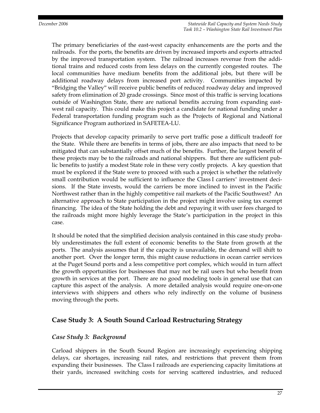The primary beneficiaries of the east-west capacity enhancements are the ports and the railroads. For the ports, the benefits are driven by increased imports and exports attracted by the improved transportation system. The railroad increases revenue from the additional trains and reduced costs from less delays on the currently congested routes. The local communities have medium benefits from the additional jobs, but there will be additional roadway delays from increased port activity. Communities impacted by "Bridging the Valley" will receive public benefits of reduced roadway delay and improved safety from elimination of 20 grade crossings. Since most of this traffic is serving locations outside of Washington State, there are national benefits accruing from expanding eastwest rail capacity. This could make this project a candidate for national funding under a Federal transportation funding program such as the Projects of Regional and National Significance Program authorized in SAFETEA-LU.

Projects that develop capacity primarily to serve port traffic pose a difficult tradeoff for the State. While there are benefits in terms of jobs, there are also impacts that need to be mitigated that can substantially offset much of the benefits. Further, the largest benefit of these projects may be to the railroads and national shippers. But there are sufficient public benefits to justify a modest State role in these very costly projects. A key question that must be explored if the State were to proceed with such a project is whether the relatively small contribution would be sufficient to influence the Class I carriers' investment decisions. If the State invests, would the carriers be more inclined to invest in the Pacific Northwest rather than in the highly competitive rail markets of the Pacific Southwest? An alternative approach to State participation in the project might involve using tax exempt financing. The idea of the State holding the debt and repaying it with user fees charged to the railroads might more highly leverage the State's participation in the project in this case.

It should be noted that the simplified decision analysis contained in this case study probably underestimates the full extent of economic benefits to the State from growth at the ports. The analysis assumes that if the capacity is unavailable, the demand will shift to another port. Over the longer term, this might cause reductions in ocean carrier services at the Puget Sound ports and a less competitive port complex, which would in turn affect the growth opportunities for businesses that may not be rail users but who benefit from growth in services at the port. There are no good modeling tools in general use that can capture this aspect of the analysis. A more detailed analysis would require one-on-one interviews with shippers and others who rely indirectly on the volume of business moving through the ports.

#### **Case Study 3: A South Sound Carload Restructuring Strategy**

#### *Case Study 3: Background*

Carload shippers in the South Sound Region are increasingly experiencing shipping delays, car shortages, increasing rail rates, and restrictions that prevent them from expanding their businesses. The Class I railroads are experiencing capacity limitations at their yards, increased switching costs for serving scattered industries, and reduced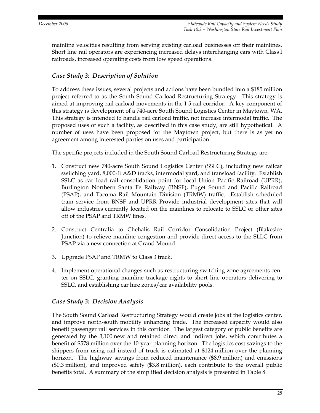mainline velocities resulting from serving existing carload businesses off their mainlines. Short line rail operators are experiencing increased delays interchanging cars with Class I railroads, increased operating costs from low speed operations.

#### *Case Study 3: Description of Solution*

To address these issues, several projects and actions have been bundled into a \$185 million project referred to as the South Sound Carload Restructuring Strategy. This strategy is aimed at improving rail carload movements in the I-5 rail corridor. A key component of this strategy is development of a 740-acre South Sound Logistics Center in Maytown, WA. This strategy is intended to handle rail carload traffic, not increase intermodal traffic. The proposed uses of such a facility, as described in this case study, are still hypothetical. A number of uses have been proposed for the Maytown project, but there is as yet no agreement among interested parties on uses and participation.

The specific projects included in the South Sound Carload Restructuring Strategy are:

- 1. Construct new 740-acre South Sound Logistics Center (SSLC), including new railcar switching yard, 8,000-ft A&D tracks, intermodal yard, and transload facility. Establish SSLC as car load rail consolidation point for local Union Pacific Railroad (UPRR), Burlington Northern Santa Fe Railway (BNSF), Puget Sound and Pacific Railroad (PSAP), and Tacoma Rail Mountain Division (TRMW) traffic. Establish scheduled train service from BNSF and UPRR Provide industrial development sites that will allow industries currently located on the mainlines to relocate to SSLC or other sites off of the PSAP and TRMW lines.
- 2. Construct Centralia to Chehalis Rail Corridor Consolidation Project (Blakeslee Junction) to relieve mainline congestion and provide direct access to the SLLC from PSAP via a new connection at Grand Mound.
- 3. Upgrade PSAP and TRMW to Class 3 track.
- 4. Implement operational changes such as restructuring switching zone agreements center on SSLC, granting mainline trackage rights to short line operators delivering to SSLC, and establishing car hire zones/car availability pools.

#### *Case Study 3: Decision Analysis*

The South Sound Carload Restructuring Strategy would create jobs at the logistics center, and improve north-south mobility enhancing trade. The increased capacity would also benefit passenger rail services in this corridor. The largest category of public benefits are generated by the 3,100 new and retained direct and indirect jobs, which contributes a benefit of \$578 million over the 10-year planning horizon. The logistics cost savings to the shippers from using rail instead of truck is estimated at \$124 million over the planning horizon. The highway savings from reduced maintenance (\$8.9 million) and emissions (\$0.3 million), and improved safety (\$3.8 million), each contribute to the overall public benefits total. A summary of the simplified decision analysis is presented in Table 8.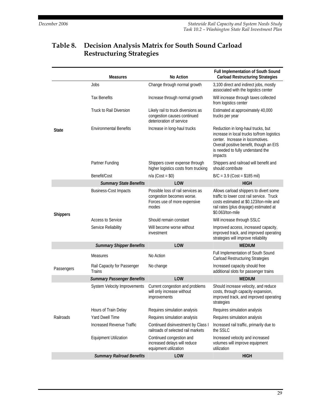| Table 8. Decision Analysis Matrix for South Sound Carload |
|-----------------------------------------------------------|
| <b>Restructuring Strategies</b>                           |

|                 | Measures                              | <b>No Action</b>                                                                                        | Full Implementation of South Sound<br><b>Carload Restructuring Strategies</b>                                                                                                                                   |
|-----------------|---------------------------------------|---------------------------------------------------------------------------------------------------------|-----------------------------------------------------------------------------------------------------------------------------------------------------------------------------------------------------------------|
|                 | Jobs                                  | Change through normal growth                                                                            | 3,100 direct and indirect jobs, mostly<br>associated with the logistics center                                                                                                                                  |
|                 | <b>Tax Benefits</b>                   | Increase through normal growth                                                                          | Will increase through taxes collected<br>from logistics center                                                                                                                                                  |
|                 | Truck to Rail Diversion               | Likely rail to truck diversions as<br>congestion causes continued<br>deterioration of service           | Estimated at approximately 40,000<br>trucks per year                                                                                                                                                            |
| <b>State</b>    | <b>Environmental Benefits</b>         | Increase in long-haul trucks                                                                            | Reduction in long-haul trucks, but<br>increase in local trucks to/from logistics<br>center. Increase in locomotives.<br>Overall positive benefit, though an EIS<br>is needed to fully understand the<br>impacts |
|                 | Partner Funding                       | Shippers cover expense through<br>higher logistics costs from trucking                                  | Shippers and railroad will benefit and<br>should contribute                                                                                                                                                     |
|                 | Benefit/Cost                          | $n/a$ (Cost = \$0)                                                                                      | $B/C = 3.9$ (Cost = \$185 mil)                                                                                                                                                                                  |
|                 | <b>Summary State Benefits</b>         | LOW                                                                                                     | <b>HIGH</b>                                                                                                                                                                                                     |
|                 | <b>Business-Cost Impacts</b>          | Possible loss of rail services as<br>congestion becomes worse.<br>Forces use of more expensive<br>modes | Allows carload shippers to divert some<br>traffic to lower cost rail service. Truck<br>costs estimated at \$0.123/ton-mile and<br>rail rates (plus drayage) estimated at<br>\$0.063/ton-mile                    |
| <b>Shippers</b> | <b>Access to Service</b>              | Should remain constant                                                                                  | Will increase through SSLC                                                                                                                                                                                      |
|                 | Service Reliability                   | Will become worse without<br>investment                                                                 | Improved access, increased capacity,<br>improved track, and improved operating<br>strategies will improve reliability                                                                                           |
|                 | <b>Summary Shipper Benefits</b>       | LOW                                                                                                     | <b>MEDIUM</b>                                                                                                                                                                                                   |
|                 | Measures                              | No Action                                                                                               | Full Implementation of South Sound<br><b>Carload Restructuring Strategies</b>                                                                                                                                   |
| Passengers      | Rail Capacity for Passenger<br>Trains | No change                                                                                               | Increased capacity should free<br>additional slots for passenger trains                                                                                                                                         |
|                 | <b>Summary Passenger Benefits</b>     | LOW                                                                                                     | <b>MEDIUM</b>                                                                                                                                                                                                   |
|                 | System Velocity Improvements          | Current congestion and problems<br>will only increase without<br>improvements                           | Should increase velocity, and reduce<br>costs, through capacity expansion,<br>improved track, and improved operating<br>strategies                                                                              |
|                 | Hours of Train Delay                  | Requires simulation analysis                                                                            | Requires simulation analysis                                                                                                                                                                                    |
| Railroads       | Yard Dwell Time                       | Requires simulation analysis                                                                            | Requires simulation analysis                                                                                                                                                                                    |
|                 | Increased Revenue Traffic             | Continued disinvestment by Class I<br>railroads of selected rail markets                                | Increased rail traffic, primarily due to<br>the SSLC                                                                                                                                                            |
|                 | <b>Equipment Utilization</b>          | Continued congestion and<br>increased delays will reduce<br>equipment utilization                       | Increased velocity and increased<br>volumes will improve equipment<br>utilization                                                                                                                               |
|                 | <b>Summary Railroad Benefits</b>      | <b>LOW</b>                                                                                              | <b>HIGH</b>                                                                                                                                                                                                     |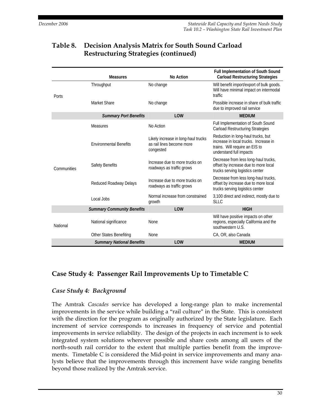|             | <b>Measures</b>                   | No Action                                                                     | Full Implementation of South Sound<br><b>Carload Restructuring Strategies</b>                                                            |
|-------------|-----------------------------------|-------------------------------------------------------------------------------|------------------------------------------------------------------------------------------------------------------------------------------|
| Ports       | Throughput                        | No change                                                                     | Will benefit import/export of bulk goods.<br>Will have minimal impact on intermodal<br>traffic                                           |
|             | Market Share                      | No change                                                                     | Possible increase in share of bulk traffic<br>due to improved rail service                                                               |
|             | <b>Summary Port Benefits</b>      | LOW                                                                           | <b>MEDIUM</b>                                                                                                                            |
|             | <b>Measures</b>                   | No Action                                                                     | Full Implementation of South Sound<br><b>Carload Restructuring Strategies</b>                                                            |
|             | <b>Environmental Benefits</b>     | Likely increase in long-haul trucks<br>as rail lines become more<br>congested | Reduction in long-haul trucks, but<br>increase in local trucks. Increase in<br>trains. Will require an EIS to<br>understand full impacts |
| Communities | <b>Safety Benefits</b>            | Increase due to more trucks on<br>roadways as traffic grows                   | Decrease from less long-haul trucks,<br>offset by increase due to more local<br>trucks serving logistics center                          |
|             | <b>Reduced Roadway Delays</b>     | Increase due to more trucks on<br>roadways as traffic grows                   | Decrease from less long-haul trucks,<br>offset by increase due to more local<br>trucks serving logistics center                          |
|             | Local Jobs                        | Normal increase from constrained<br>growth                                    | 3,100 direct and indirect, mostly due to<br><b>SLLC</b>                                                                                  |
|             | <b>Summary Community Benefits</b> | LOW                                                                           | <b>HIGH</b>                                                                                                                              |
| National    | National significance             | None                                                                          | Will have positive impacts on other<br>regions, especially California and the<br>southwestern U.S.                                       |
|             | <b>Other States Benefiting</b>    | <b>None</b>                                                                   | CA, OR, also Canada                                                                                                                      |
|             | <b>Summary National Benefits</b>  | LOW                                                                           | <b>MEDIUM</b>                                                                                                                            |

#### **Table 8. Decision Analysis Matrix for South Sound Carload Restructuring Strategies (continued)**

#### **Case Study 4: Passenger Rail Improvements Up to Timetable C**

#### *Case Study 4: Background*

The Amtrak *Cascades* service has developed a long-range plan to make incremental improvements in the service while building a "rail culture" in the State. This is consistent with the direction for the program as originally authorized by the State legislature. Each increment of service corresponds to increases in frequency of service and potential improvements in service reliability. The design of the projects in each increment is to seek integrated system solutions wherever possible and share costs among all users of the north-south rail corridor to the extent that multiple parties benefit from the improvements. Timetable C is considered the Mid-point in service improvements and many analysts believe that the improvements through this increment have wide ranging benefits beyond those realized by the Amtrak service.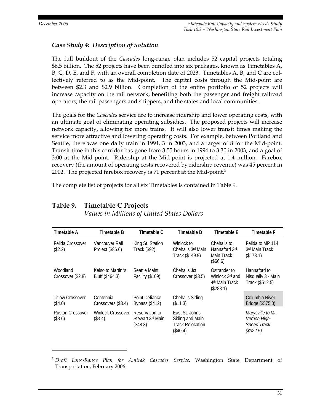<u>.</u>

#### *Case Study 4: Description of Solution*

The full buildout of the *Cascades* long-range plan includes 52 capital projects totaling \$6.5 billion. The 52 projects have been bundled into six packages, known as Timetables A, B, C, D, E, and F, with an overall completion date of 2023. Timetables A, B, and C are collectively referred to as the Mid-point. The capital costs through the Mid-point are between \$2.3 and \$2.9 billion. Completion of the entire portfolio of 52 projects will increase capacity on the rail network, benefiting both the passenger and freight railroad operators, the rail passengers and shippers, and the states and local communities.

The goals for the *Cascades* service are to increase ridership and lower operating costs, with an ultimate goal of eliminating operating subsidies. The proposed projects will increase network capacity, allowing for more trains. It will also lower transit times making the service more attractive and lowering operating costs. For example, between Portland and Seattle, there was one daily train in 1994, 3 in 2003, and a target of 8 for the Mid-point. Transit time in this corridor has gone from 3:55 hours in 1994 to 3:30 in 2003, and a goal of 3:00 at the Mid-point. Ridership at the Mid-point is projected at 1.4 million. Farebox recovery (the amount of operating costs recovered by ridership revenue) was 45 percent in 2002. The projected farebox recovery is 71 percent at the Mid-point.<sup>3</sup>

The complete list of projects for all six Timetables is contained in Table 9.

| Timetable A                        | Timetable B                          | Timetable C                                    | Timetable D                                                              | Timetable E                                                                | <b>Timetable F</b>                                            |
|------------------------------------|--------------------------------------|------------------------------------------------|--------------------------------------------------------------------------|----------------------------------------------------------------------------|---------------------------------------------------------------|
| Felida Crossover<br>(\$2.2)        | Vancouver Rail<br>Project (\$86.6)   | King St. Station<br>Track (\$92)               | Winlock to<br>Chehalis 3rd Main<br>Track (\$149.9)                       | Chehalis to<br>Hannaford 3rd<br>Main Track<br>(\$66.6)                     | Felida to MP 114<br>3rd Main Track<br>(\$173.1)               |
| Woodland<br>Crossover (\$2.8)      | Kelso to Martin's<br>Bluff (\$464.3) | Seattle Maint.<br>Facility (\$109)             | Chehalis Jct<br>Crossover (\$3.5)                                        | Ostrander to<br>Winlock 3rd and<br>4 <sup>th</sup> Main Track<br>(\$283.1) | Hannaford to<br>Nisqually 3rd Main<br>Track (\$512.5)         |
| <b>Titlow Crossover</b><br>(\$4.0) | Centennial<br>Crossovers (\$3.4)     | Point Defiance<br>Bypass (\$412)               | Chehalis Siding<br>(\$11.3)                                              |                                                                            | Columbia River<br>Bridge (\$575.0)                            |
| <b>Ruston Crossover</b><br>(\$3.6) | <b>Winlock Crossover</b><br>(\$3.4)  | Reservation to<br>Stewart 3rd Main<br>(\$48.3) | East St. Johns<br>Siding and Main<br><b>Track Relocation</b><br>(\$40.4) |                                                                            | Marysville to Mt.<br>Vernon High-<br>Speed Track<br>(\$322.5) |

#### **Table 9. Timetable C Projects**

#### *Values in Millions of United States Dollars*

<sup>3</sup> *Draft Long-Range Plan for Amtrak Cascades Service*, Washington State Department of Transportation, February 2006.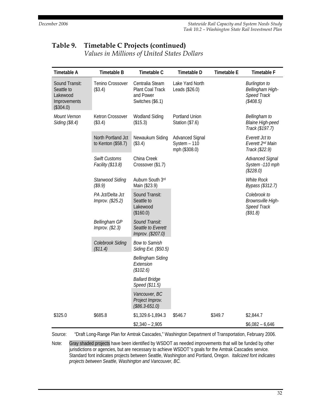| Table 9. Timetable C Projects (continued)   |
|---------------------------------------------|
| Values in Millions of United States Dollars |

| <b>Timetable A</b>                                                    | <b>Timetable B</b>                        | Timetable C                                                          | Timetable D                                             | <b>Timetable E</b> | <b>Timetable F</b>                                                   |
|-----------------------------------------------------------------------|-------------------------------------------|----------------------------------------------------------------------|---------------------------------------------------------|--------------------|----------------------------------------------------------------------|
| Sound Transit:<br>Seattle to<br>Lakewood<br>Improvements<br>(\$304.0) | Tenino Crossover<br>(\$3.4)               | Centralia Steam<br>Plant Coal Track<br>and Power<br>Switches (\$6.1) | Lake Yard North<br>Leads (\$26.0)                       |                    | <b>Burlington to</b><br>Bellingham High-<br>Speed Track<br>(\$408.5) |
| Mount Vernon<br>Siding (\$8.4)                                        | Ketron Crossover<br>(\$3.4)               | <b>Wodland Siding</b><br>(\$15.3)                                    | <b>Portland Union</b><br>Station (\$7.6)                |                    | Bellingham to<br><b>Blaine High-peed</b><br>Track (\$197.7)          |
|                                                                       | North Portland Jct<br>to Kenton (\$58.7)  | Newaukum Siding<br>(\$3.4)                                           | <b>Advanced Signal</b><br>System - 110<br>mph (\$308.0) |                    | Everett Jct to<br>Everett 2nd Main<br>Track (\$22.9)                 |
|                                                                       | <b>Swift Customs</b><br>Facility (\$13.8) | China Creek<br>Crossover (\$1.7)                                     |                                                         |                    | <b>Advanced Signal</b><br>System -110 mph<br>(\$228.0)               |
|                                                                       | Stanwood Siding<br>(\$9.9)                | Auburn South 3rd<br>Main (\$23.9)                                    |                                                         |                    |                                                                      |
|                                                                       | PA Jct/Delta Jct<br>Improv. (\$25.2)      | Sound Transit:<br>Seattle to<br>Lakewood<br>(\$160.0)                |                                                         |                    | Colebrook to<br>Brownsville High-<br>Speed Track<br>(\$91.8)         |
|                                                                       | Bellingham GP<br>Improv. (\$2.3)          | Sound Transit:<br>Seattle to Everett<br>Improv. (\$207.0)            |                                                         |                    |                                                                      |
|                                                                       | Colebrook Siding<br>( \$11.4)             | <b>Bow to Samish</b><br>Siding Ext. (\$50.5)                         |                                                         |                    |                                                                      |
|                                                                       |                                           | <b>Bellingham Siding</b><br>Extension<br>(\$102.6)                   |                                                         |                    |                                                                      |
|                                                                       |                                           | <b>Ballard Bridge</b><br>Speed (\$11.5)                              |                                                         |                    |                                                                      |
|                                                                       |                                           | Vancouver, BC<br>Project Improv.<br>$($86.3-651.0)$                  |                                                         |                    |                                                                      |
| \$325.0                                                               | \$685.8                                   | \$1,329.6-1,894.3                                                    | \$546.7                                                 | \$349.7            | \$2,844.7                                                            |
|                                                                       |                                           | $$2,340 - 2,905$                                                     |                                                         |                    | $$6,082 - 6,646$                                                     |

Source: "Draft Long-Range Plan for Amtrak Cascades," Washington Department of Transportation, February 2006.

Note: Gray shaded projects have been identified by WSDOT as needed improvements that will be funded by other jurisdictions or agencies, but are necessary to achieve WSDOT's goals for the Amtrak Cascades service. Standard font indicates projects between Seattle, Washington and Portland, Oregon. *Italicized font indicates projects between Seattle, Washington and Vancouver, BC.*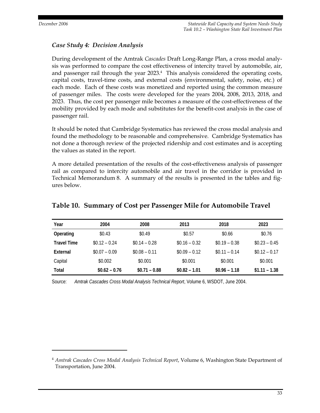<u>.</u>

#### *Case Study 4: Decision Analysis*

During development of the Amtrak *Cascades* Draft Long-Range Plan, a cross modal analysis was performed to compare the cost effectiveness of intercity travel by automobile, air, and passenger rail through the year 2023.<sup>4</sup> This analysis considered the operating costs, capital costs, travel-time costs, and external costs (environmental, safety, noise, etc.) of each mode. Each of these costs was monetized and reported using the common measure of passenger miles. The costs were developed for the years 2004, 2008, 2013, 2018, and 2023. Thus, the cost per passenger mile becomes a measure of the cost-effectiveness of the mobility provided by each mode and substitutes for the benefit-cost analysis in the case of passenger rail.

It should be noted that Cambridge Systematics has reviewed the cross modal analysis and found the methodology to be reasonable and comprehensive. Cambridge Systematics has not done a thorough review of the projected ridership and cost estimates and is accepting the values as stated in the report.

A more detailed presentation of the results of the cost-effectiveness analysis of passenger rail as compared to intercity automobile and air travel in the corridor is provided in Technical Memorandum 8. A summary of the results is presented in the tables and figures below.

| Year               | 2004           | 2008           | 2013           | 2018           | 2023           |
|--------------------|----------------|----------------|----------------|----------------|----------------|
| Operating          | \$0.43         | \$0.49         | \$0.57         | \$0.66         | \$0.76         |
| <b>Travel Time</b> | $$0.12 - 0.24$ | $$0.14 - 0.28$ | $$0.16 - 0.32$ | $$0.19 - 0.38$ | $$0.23 - 0.45$ |
| External           | $$0.07 - 0.09$ | $$0.08 - 0.11$ | $$0.09 - 0.12$ | $$0.11 - 0.14$ | $$0.12 - 0.17$ |
| Capital            | \$0.002        | \$0.001        | \$0.001        | \$0.001        | \$0.001        |
| Total              | $$0.62 - 0.76$ | $$0.71 - 0.88$ | $$0.82 - 1.01$ | $$0.96 - 1.18$ | $$1.11 - 1.38$ |

#### **Table 10. Summary of Cost per Passenger Mile for Automobile Travel**

Source: *Amtrak Cascades Cross Modal Analysis Technical Report*, Volume 6, WSDOT, June 2004.

<sup>4</sup> *Amtrak Cascades Cross Modal Analysis Technical Report*, Volume 6, Washington State Department of Transportation, June 2004.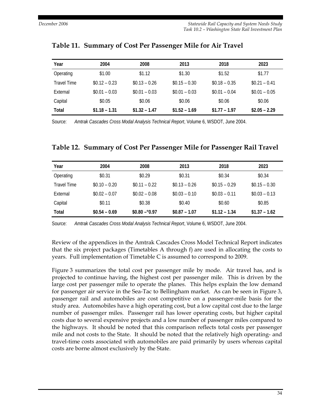| Year        | 2004           | 2008           | 2013           | 2018           | 2023           |
|-------------|----------------|----------------|----------------|----------------|----------------|
| Operating   | \$1.00         | \$1.12         | \$1.30         | \$1.52         | \$1.77         |
| Travel Time | $$0.12 - 0.23$ | $$0.13 - 0.26$ | $$0.15 - 0.30$ | $$0.18 - 0.35$ | $$0.21 - 0.41$ |
| External    | $$0.01 - 0.03$ | $$0.01 - 0.03$ | $$0.01 - 0.03$ | $$0.01 - 0.04$ | $$0.01 - 0.05$ |
| Capital     | \$0.05         | \$0.06         | \$0.06         | \$0.06         | \$0.06         |
| Total       | $$1.18 - 1.31$ | $$1.32 - 1.47$ | $$1.52 - 1.69$ | $$1.77 - 1.97$ | $$2.05 - 2.29$ |

#### **Table 11. Summary of Cost Per Passenger Mile for Air Travel**

Source: *Amtrak Cascades Cross Modal Analysis Technical Report*, Volume 6, WSDOT, June 2004.

|                    | Table 12. Outliniary of Cost Fer Fassenger Mille for Fassenger Kall Travel |                        |                |                |                |
|--------------------|----------------------------------------------------------------------------|------------------------|----------------|----------------|----------------|
| Year               | 2004                                                                       | 2008                   | 2013           | 2018           | 2023           |
| Operating          | \$0.31                                                                     | \$0.29                 | \$0.31         | \$0.34         | \$0.34         |
| <b>Travel Time</b> | $$0.10 - 0.20$                                                             | $$0.11 - 0.22$$        | $$0.13 - 0.26$ | $$0.15 - 0.29$ | $$0.15 - 0.30$ |
| External           | $$0.02 - 0.07$                                                             | $$0.02 - 0.08$         | $$0.03 - 0.10$ | $$0.03 - 0.11$ | $$0.03 - 0.13$ |
| Capital            | \$0.11                                                                     | \$0.38                 | \$0.40         | \$0.60         | \$0.85         |
| Total              | $$0.54 - 0.69$                                                             | $$0.80 - ^{\circ}0.97$ | $$0.87 - 1.07$ | $$1.12 - 1.34$ | $$1.37 - 1.62$ |

#### **Table 12. Summary of Cost Per Passenger Mile for Passenger Rail Travel**

Source: *Amtrak Cascades Cross Modal Analysis Technical Report*, Volume 6, WSDOT, June 2004.

Review of the appendices in the Amtrak Cascades Cross Model Technical Report indicates that the six project packages (Timetables A through f) are used in allocating the costs to years. Full implementation of Timetable C is assumed to correspond to 2009.

Figure 3 summarizes the total cost per passenger mile by mode. Air travel has, and is projected to continue having, the highest cost per passenger mile. This is driven by the large cost per passenger mile to operate the planes. This helps explain the low demand for passenger air service in the Sea-Tac to Bellingham market. As can be seen in Figure 3, passenger rail and automobiles are cost competitive on a passenger-mile basis for the study area. Automobiles have a high operating cost, but a low capital cost due to the large number of passenger miles. Passenger rail has lower operating costs, but higher capital costs due to several expensive projects and a low number of passenger miles compared to the highways. It should be noted that this comparison reflects total costs per passenger mile and not costs to the State. It should be noted that the relatively high operating- and travel-time costs associated with automobiles are paid primarily by users whereas capital costs are borne almost exclusively by the State.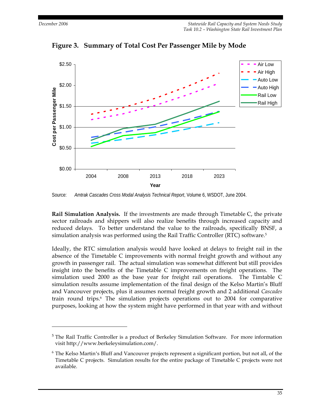<u>.</u>



**Figure 3. Summary of Total Cost Per Passenger Mile by Mode** 

Source: *Amtrak Cascades Cross Modal Analysis Technical Report*, Volume 6, WSDOT, June 2004.

**Rail Simulation Analysis.** If the investments are made through Timetable C, the private sector railroads and shippers will also realize benefits through increased capacity and reduced delays. To better understand the value to the railroads, specifically BNSF, a simulation analysis was performed using the Rail Traffic Controller (RTC) software.<sup>5</sup>

Ideally, the RTC simulation analysis would have looked at delays to freight rail in the absence of the Timetable C improvements with normal freight growth and without any growth in passenger rail. The actual simulation was somewhat different but still provides insight into the benefits of the Timetable C improvements on freight operations. The simulation used 2000 as the base year for freight rail operations. The Timtable C simulation results assume implementation of the final design of the Kelso Martin's Bluff and Vancouver projects, plus it assumes normal freight growth and 2 additional *Cascades*  train round trips.<sup>6</sup> The simulation projects operations out to 2004 for comparative purposes, looking at how the system might have performed in that year with and without

<sup>5</sup> The Rail Traffic Controller is a product of Berkeley Simulation Software. For more information visit http://www.berkeleysimulation.com/.

<sup>6</sup> The Kelso Martin's Bluff and Vancouver projects represent a significant portion, but not all, of the Timetable C projects. Simulation results for the entire package of Timetable C projects were not available.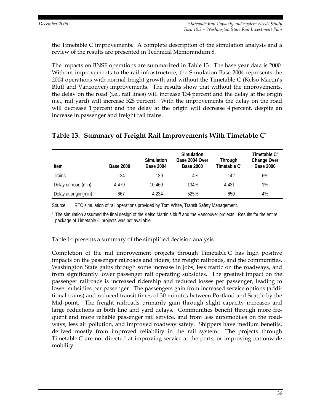the Timetable C improvements. A complete description of the simulation analysis and a review of the results are presented in Technical Memorandum 8.

The impacts on BNSF operations are summarized in Table 13. The base year data is 2000. Without improvements to the rail infrastructure, the Simulation Base 2004 represents the 2004 operations with normal freight growth and without the Timetable C (Kelso Martin's Bluff and Vancouver) improvements. The results show that without the improvements, the delay on the road (i.e., rail lines) will increase 134 percent and the delay at the origin (i.e., rail yard) will increase 525 percent. With the improvements the delay on the road will decrease 1 percent and the delay at the origin will decrease 4 percent, despite an increase in passenger and freight rail trains.

| Item                  | <b>Base 2000</b> | Simulation<br><b>Base 2004</b> | <b>Simulation</b><br>Base 2004 Over<br><b>Base 2000</b> | Through<br>Timetable C* | Timetable C*<br>Change Over<br><b>Base 2000</b> |
|-----------------------|------------------|--------------------------------|---------------------------------------------------------|-------------------------|-------------------------------------------------|
| Trains                | 134              | 139                            | 4%                                                      | 142                     | 6%                                              |
| Delay on road (min)   | 4.479            | 10.460                         | 134%                                                    | 4.431                   | $-1%$                                           |
| Delay at origin (min) | 667              | 4.234                          | 525%                                                    | 650                     | $-4%$                                           |

#### **Table 13. Summary of Freight Rail Improvements With Timetable C\***

Source: RTC simulation of rail operations provided by Tom White, Transit Safety Management.

\* The simulation assumed the final design of the Kelso Martin's bluff and the Vancouver projects. Results for the entire package of Timetable C projects was not available.

Table 14 presents a summary of the simplified decision analysis.

Completion of the rail improvement projects through Timetable C has high positive impacts on the passenger railroads and riders, the freight railroads, and the communities. Washington State gains through some increase in jobs, less traffic on the roadways, and from significantly lower passenger rail operating subsidies. The greatest impact on the passenger railroads is increased ridership and reduced losses per passenger, leading to lower subsidies per passenger. The passengers gain from increased service options (additional trains) and reduced transit times of 30 minutes between Portland and Seattle by the Mid-point. The freight railroads primarily gain through slight capacity increases and large reductions in both line and yard delays. Communities benefit through more frequent and more reliable passenger rail service, and from less automobiles on the roadways, less air pollution, and improved roadway safety. Shippers have medium benefits, derived mostly from improved reliability in the rail system. The projects through Timetable C are not directed at improving service at the ports, or improving nationwide mobility.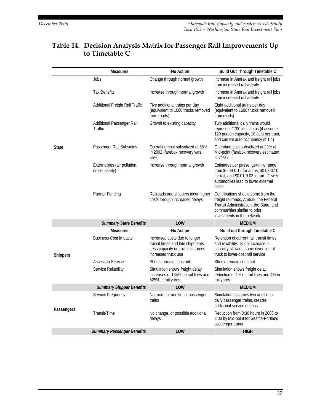| Table 14. Decision Analysis Matrix for Passenger Rail Improvements Up |
|-----------------------------------------------------------------------|
| to Timetable C                                                        |

|                 | <b>Measures</b>                                 | No Action                                                                                                                       | Build Out Through Timetable C                                                                                                                                                        |
|-----------------|-------------------------------------------------|---------------------------------------------------------------------------------------------------------------------------------|--------------------------------------------------------------------------------------------------------------------------------------------------------------------------------------|
|                 | Jobs                                            | Change through normal growth                                                                                                    | Increase in Amtrak and freight rail jobs<br>from increased rail activity                                                                                                             |
| <b>State</b>    | <b>Tax Benefits</b>                             | Increase through normal growth                                                                                                  | Increase in Amtrak and freight rail jobs<br>from increased rail activity                                                                                                             |
|                 | Additional Freight Rail Traffic                 | Five additional trains per day<br>(equivalent to 1000 trucks removed<br>from roads)                                             | Eight additional trains per day<br>(equivalent to 1600 trucks removed<br>from roads)                                                                                                 |
|                 | Additional Passenger Rail<br>Traffic            | Growth to existing capacity                                                                                                     | Two additional daily trains would<br>represent 1700 less autos (if assume<br>120 person capacity, 10 cars per train,<br>and current auto occupancy of 1.4)                           |
|                 | Passenger Rail Subsidies                        | Operating-cost subsidized at 55%<br>in 2002 (farebox recovery was<br>45%)                                                       | Operating-cost subsidized at 29% at<br>Mid-point (farebox recovery estimated<br>at 71%)                                                                                              |
|                 | Externalities (air pollution,<br>noise, safety) | Increase through normal growth                                                                                                  | Estimates per passenger-mile range<br>from \$0.09-0.12 for autos, \$0.03-0.10<br>for rail, and \$0.01-0.03 for air. Fewer<br>automobiles lead to lower external<br>costs             |
|                 | Partner Funding                                 | Railroads and shippers incur higher<br>costs through increased delays                                                           | Contributions should come from the<br>freight railroads, Amtrak, the Federal<br>Transit Administration, the State, and<br>communities similar to prior<br>investments in the network |
|                 | <b>Summary State Benefits</b>                   | <b>LOW</b>                                                                                                                      | <b>MEDIUM</b>                                                                                                                                                                        |
|                 | <b>Measures</b>                                 | <b>No Action</b>                                                                                                                | Build out through Timetable C                                                                                                                                                        |
| <b>Shippers</b> | <b>Business-Cost Impacts</b>                    | Increased costs due to longer<br>transit times and late shipments.<br>Less capacity on rail lines forces<br>increased truck use | Retention of current rail transit times<br>and reliability. Slight increase in<br>capacity allowing some diversion of<br>truck to lower-cost rail service                            |
|                 | <b>Access to Service</b>                        | Should remain constant                                                                                                          | Should remain constant                                                                                                                                                               |
|                 | Service Reliability                             | Simulation shows freight delay<br>increases of 134% on rail lines and<br>525% in rail yards                                     | Simulation shows freight delay<br>reduction of 1% on rail lines and 4% in<br>rail yards                                                                                              |
|                 | <b>Summary Shipper Benefits</b>                 | LOW                                                                                                                             | <b>MEDIUM</b>                                                                                                                                                                        |
| Passengers      | Service Frequency                               | No room for additional passenger<br>trains                                                                                      | Simulation assumes two additional<br>daily passenger trains, creates<br>additional service options                                                                                   |
|                 | Transit-Time                                    | No change, or possible additional<br>delays                                                                                     | Reduction from 3:30 hours in 2003 to<br>3:00 by Mid-point for Seattle-Portland<br>passenger trains                                                                                   |
|                 | <b>Summary Passenger Benefits</b>               | <b>LOW</b>                                                                                                                      | <b>HIGH</b>                                                                                                                                                                          |